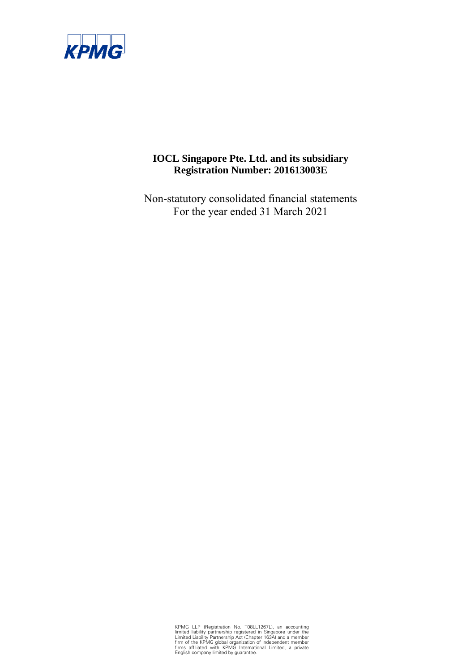

## **IOCL Singapore Pte. Ltd. and its subsidiary Registration Number: 201613003E**

Non-statutory consolidated financial statements For the year ended 31 March 2021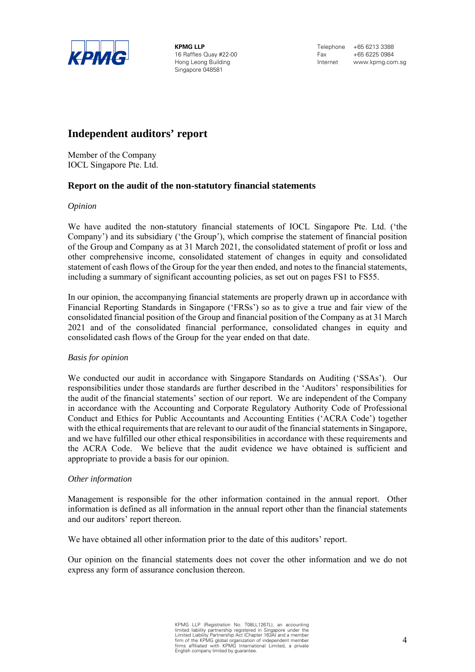

**KPMG LLP**  16 Raffles Quay #22-00 Hong Leong Building Singapore 048581

Telephone +65 6213 3388 Fax +65 6225 0984 Internet www.kpmg.com.sg

## **Independent auditors' report**

Member of the Company IOCL Singapore Pte. Ltd.

### **Report on the audit of the non-statutory financial statements**

#### *Opinion*

We have audited the non-statutory financial statements of IOCL Singapore Pte. Ltd. ('the Company') and its subsidiary ('the Group'), which comprise the statement of financial position of the Group and Company as at 31 March 2021, the consolidated statement of profit or loss and other comprehensive income, consolidated statement of changes in equity and consolidated statement of cash flows of the Group for the year then ended, and notes to the financial statements, including a summary of significant accounting policies, as set out on pages FS1 to FS55.

In our opinion, the accompanying financial statements are properly drawn up in accordance with Financial Reporting Standards in Singapore ('FRSs') so as to give a true and fair view of the consolidated financial position of the Group and financial position of the Company as at 31 March 2021 and of the consolidated financial performance, consolidated changes in equity and consolidated cash flows of the Group for the year ended on that date.

### *Basis for opinion*

We conducted our audit in accordance with Singapore Standards on Auditing ('SSAs'). Our responsibilities under those standards are further described in the 'Auditors' responsibilities for the audit of the financial statements' section of our report. We are independent of the Company in accordance with the Accounting and Corporate Regulatory Authority Code of Professional Conduct and Ethics for Public Accountants and Accounting Entities ('ACRA Code') together with the ethical requirements that are relevant to our audit of the financial statements in Singapore, and we have fulfilled our other ethical responsibilities in accordance with these requirements and the ACRA Code. We believe that the audit evidence we have obtained is sufficient and appropriate to provide a basis for our opinion.

#### *Other information*

Management is responsible for the other information contained in the annual report. Other information is defined as all information in the annual report other than the financial statements and our auditors' report thereon.

We have obtained all other information prior to the date of this auditors' report.

Our opinion on the financial statements does not cover the other information and we do not express any form of assurance conclusion thereon.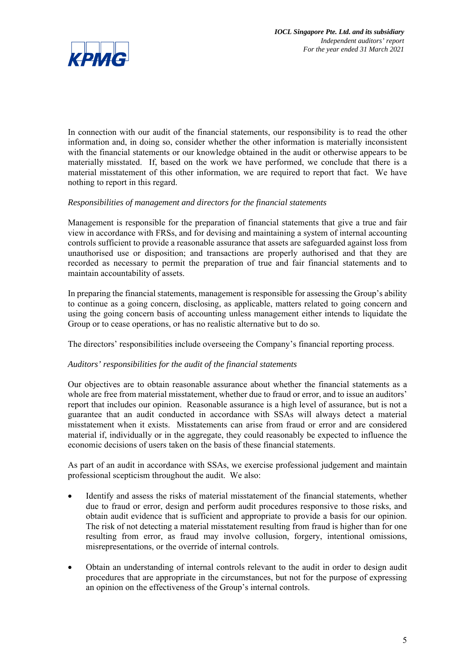



In connection with our audit of the financial statements, our responsibility is to read the other information and, in doing so, consider whether the other information is materially inconsistent with the financial statements or our knowledge obtained in the audit or otherwise appears to be materially misstated. If, based on the work we have performed, we conclude that there is a material misstatement of this other information, we are required to report that fact. We have nothing to report in this regard.

#### *Responsibilities of management and directors for the financial statements*

Management is responsible for the preparation of financial statements that give a true and fair view in accordance with FRSs, and for devising and maintaining a system of internal accounting controls sufficient to provide a reasonable assurance that assets are safeguarded against loss from unauthorised use or disposition; and transactions are properly authorised and that they are recorded as necessary to permit the preparation of true and fair financial statements and to maintain accountability of assets.

In preparing the financial statements, management is responsible for assessing the Group's ability to continue as a going concern, disclosing, as applicable, matters related to going concern and using the going concern basis of accounting unless management either intends to liquidate the Group or to cease operations, or has no realistic alternative but to do so.

The directors' responsibilities include overseeing the Company's financial reporting process.

#### *Auditors' responsibilities for the audit of the financial statements*

Our objectives are to obtain reasonable assurance about whether the financial statements as a whole are free from material misstatement, whether due to fraud or error, and to issue an auditors' report that includes our opinion. Reasonable assurance is a high level of assurance, but is not a guarantee that an audit conducted in accordance with SSAs will always detect a material misstatement when it exists. Misstatements can arise from fraud or error and are considered material if, individually or in the aggregate, they could reasonably be expected to influence the economic decisions of users taken on the basis of these financial statements.

As part of an audit in accordance with SSAs, we exercise professional judgement and maintain professional scepticism throughout the audit. We also:

- Identify and assess the risks of material misstatement of the financial statements, whether due to fraud or error, design and perform audit procedures responsive to those risks, and obtain audit evidence that is sufficient and appropriate to provide a basis for our opinion. The risk of not detecting a material misstatement resulting from fraud is higher than for one resulting from error, as fraud may involve collusion, forgery, intentional omissions, misrepresentations, or the override of internal controls.
- Obtain an understanding of internal controls relevant to the audit in order to design audit procedures that are appropriate in the circumstances, but not for the purpose of expressing an opinion on the effectiveness of the Group's internal controls.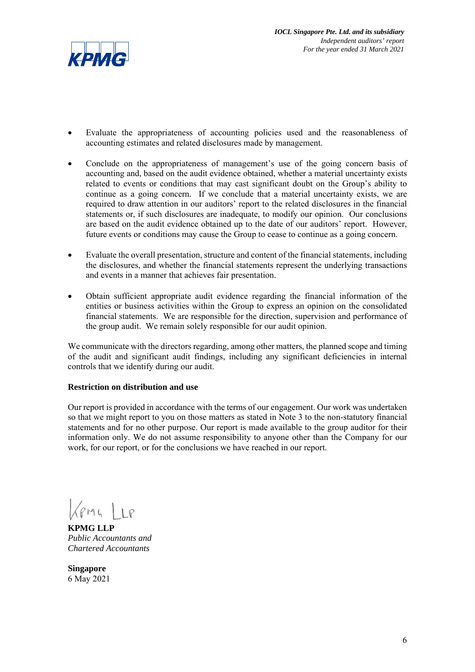

- Evaluate the appropriateness of accounting policies used and the reasonableness of accounting estimates and related disclosures made by management.
- Conclude on the appropriateness of management's use of the going concern basis of accounting and, based on the audit evidence obtained, whether a material uncertainty exists related to events or conditions that may cast significant doubt on the Group's ability to continue as a going concern. If we conclude that a material uncertainty exists, we are required to draw attention in our auditors' report to the related disclosures in the financial statements or, if such disclosures are inadequate, to modify our opinion. Our conclusions are based on the audit evidence obtained up to the date of our auditors' report. However, future events or conditions may cause the Group to cease to continue as a going concern.
- Evaluate the overall presentation, structure and content of the financial statements, including the disclosures, and whether the financial statements represent the underlying transactions and events in a manner that achieves fair presentation.
- Obtain sufficient appropriate audit evidence regarding the financial information of the entities or business activities within the Group to express an opinion on the consolidated financial statements. We are responsible for the direction, supervision and performance of the group audit. We remain solely responsible for our audit opinion.

We communicate with the directors regarding, among other matters, the planned scope and timing of the audit and significant audit findings, including any significant deficiencies in internal controls that we identify during our audit.

#### **Restriction on distribution and use**

Our report is provided in accordance with the terms of our engagement. Our work was undertaken so that we might report to you on those matters as stated in Note 3 to the non-statutory financial statements and for no other purpose. Our report is made available to the group auditor for their information only. We do not assume responsibility to anyone other than the Company for our work, for our report, or for the conclusions we have reached in our report.

 $K$  $Plu$  |  $LP$ 

**KPMG LLP**  *Public Accountants and Chartered Accountants* 

**Singapore**  6 May 2021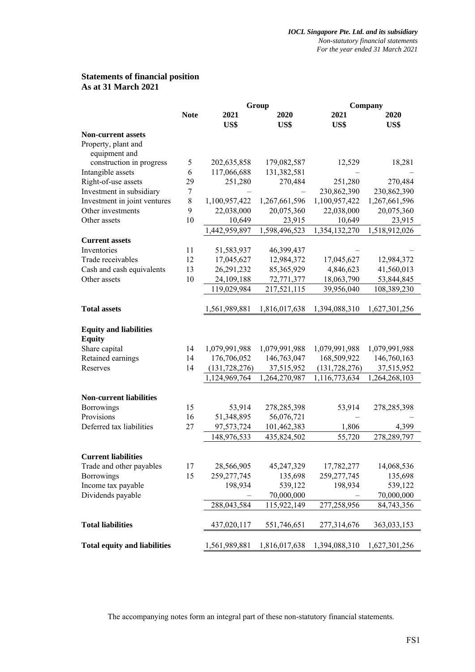#### **Statements of financial position As at 31 March 2021**

|                                     |             |                 | Group         | Company         |               |  |
|-------------------------------------|-------------|-----------------|---------------|-----------------|---------------|--|
|                                     | <b>Note</b> | 2021            | 2020          | 2021            | 2020          |  |
|                                     |             | US\$            | US\$          | US\$            | US\$          |  |
| <b>Non-current assets</b>           |             |                 |               |                 |               |  |
| Property, plant and                 |             |                 |               |                 |               |  |
| equipment and                       |             |                 |               |                 |               |  |
| construction in progress            | 5           | 202,635,858     | 179,082,587   | 12,529          | 18,281        |  |
| Intangible assets                   | 6           | 117,066,688     | 131,382,581   |                 |               |  |
| Right-of-use assets                 | 29          | 251,280         | 270,484       | 251,280         | 270,484       |  |
| Investment in subsidiary            | 7           |                 |               | 230,862,390     | 230,862,390   |  |
| Investment in joint ventures        | $\,$ 8 $\,$ | 1,100,957,422   | 1,267,661,596 | 1,100,957,422   | 1,267,661,596 |  |
| Other investments                   | 9           | 22,038,000      | 20,075,360    | 22,038,000      | 20,075,360    |  |
| Other assets                        | 10          | 10,649          | 23,915        | 10,649          | 23,915        |  |
|                                     |             | 1,442,959,897   | 1,598,496,523 | 1,354,132,270   | 1,518,912,026 |  |
| <b>Current assets</b>               |             |                 |               |                 |               |  |
| Inventories                         | 11          | 51,583,937      | 46,399,437    |                 |               |  |
| Trade receivables                   | 12          | 17,045,627      | 12,984,372    | 17,045,627      | 12,984,372    |  |
| Cash and cash equivalents           | 13          | 26,291,232      | 85,365,929    | 4,846,623       | 41,560,013    |  |
| Other assets                        | 10          | 24,109,188      | 72,771,377    | 18,063,790      | 53,844,845    |  |
|                                     |             | 119,029,984     | 217,521,115   | 39,956,040      | 108,389,230   |  |
|                                     |             |                 |               |                 |               |  |
| <b>Total assets</b>                 |             | 1,561,989,881   | 1,816,017,638 | 1,394,088,310   | 1,627,301,256 |  |
| <b>Equity and liabilities</b>       |             |                 |               |                 |               |  |
| <b>Equity</b>                       |             |                 |               |                 |               |  |
| Share capital                       | 14          | 1,079,991,988   | 1,079,991,988 | 1,079,991,988   | 1,079,991,988 |  |
| Retained earnings                   | 14          | 176,706,052     | 146,763,047   | 168,509,922     | 146,760,163   |  |
| Reserves                            | 14          | (131, 728, 276) | 37,515,952    | (131, 728, 276) | 37,515,952    |  |
|                                     |             | 1,124,969,764   | 1,264,270,987 | 1,116,773,634   | 1,264,268,103 |  |
|                                     |             |                 |               |                 |               |  |
| <b>Non-current liabilities</b>      |             |                 |               |                 |               |  |
| Borrowings<br>Provisions            | 15          | 53,914          | 278, 285, 398 | 53,914          | 278, 285, 398 |  |
|                                     | 16<br>27    | 51,348,895      | 56,076,721    |                 | 4,399         |  |
| Deferred tax liabilities            |             | 97,573,724      | 101,462,383   | 1,806           |               |  |
|                                     |             | 148,976,533     | 435,824,502   | 55,720          | 278,289,797   |  |
| <b>Current liabilities</b>          |             |                 |               |                 |               |  |
| Trade and other payables            | 17          | 28,566,905      | 45,247,329    | 17,782,277      | 14,068,536    |  |
| Borrowings                          | 15          | 259, 277, 745   | 135,698       | 259, 277, 745   | 135,698       |  |
| Income tax payable                  |             | 198,934         | 539,122       | 198,934         | 539,122       |  |
| Dividends payable                   |             |                 | 70,000,000    |                 | 70,000,000    |  |
|                                     |             | 288,043,584     | 115,922,149   | 277,258,956     | 84,743,356    |  |
|                                     |             |                 |               |                 |               |  |
| <b>Total liabilities</b>            |             | 437,020,117     | 551,746,651   | 277,314,676     | 363,033,153   |  |
|                                     |             |                 |               |                 |               |  |
| <b>Total equity and liabilities</b> |             | 1,561,989,881   | 1,816,017,638 | 1,394,088,310   | 1,627,301,256 |  |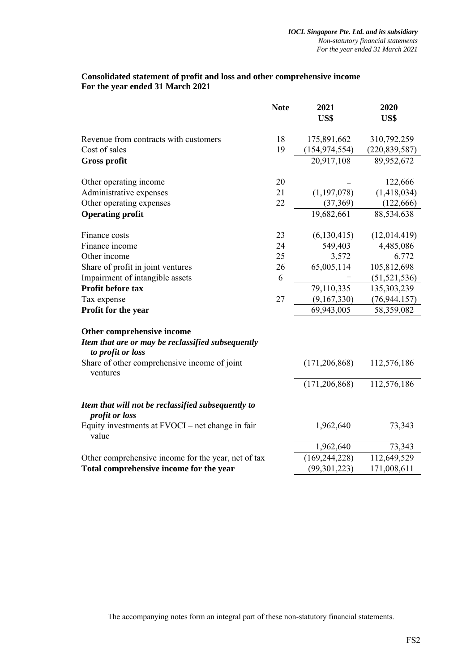#### **Consolidated statement of profit and loss and other comprehensive income For the year ended 31 March 2021**

|                                                                        | <b>Note</b> | 2021<br>US\$    | 2020<br>US\$    |
|------------------------------------------------------------------------|-------------|-----------------|-----------------|
|                                                                        |             |                 |                 |
| Revenue from contracts with customers                                  | 18          | 175,891,662     | 310,792,259     |
| Cost of sales                                                          | 19          | (154, 974, 554) | (220, 839, 587) |
| Gross profit                                                           |             | 20,917,108      | 89,952,672      |
| Other operating income                                                 | 20          |                 | 122,666         |
| Administrative expenses                                                | 21          | (1, 197, 078)   | (1,418,034)     |
| Other operating expenses                                               | 22          | (37,369)        | (122, 666)      |
| <b>Operating profit</b>                                                |             | 19,682,661      | 88,534,638      |
| Finance costs                                                          | 23          | (6, 130, 415)   | (12,014,419)    |
| Finance income                                                         | 24          | 549,403         | 4,485,086       |
| Other income                                                           | 25          | 3,572           | 6,772           |
| Share of profit in joint ventures                                      | 26          | 65,005,114      | 105,812,698     |
| Impairment of intangible assets                                        | 6           |                 | (51, 521, 536)  |
| Profit before tax                                                      |             | 79,110,335      | 135,303,239     |
| Tax expense                                                            | 27          | (9,167,330)     | (76, 944, 157)  |
| Profit for the year                                                    |             | 69,943,005      | 58,359,082      |
| Other comprehensive income                                             |             |                 |                 |
| Item that are or may be reclassified subsequently<br>to profit or loss |             |                 |                 |
| Share of other comprehensive income of joint<br>ventures               |             | (171, 206, 868) | 112,576,186     |
|                                                                        |             | (171, 206, 868) | 112,576,186     |
| Item that will not be reclassified subsequently to<br>profit or loss   |             |                 |                 |
| Equity investments at FVOCI – net change in fair<br>value              |             | 1,962,640       | 73,343          |
|                                                                        |             | 1,962,640       | 73,343          |
| Other comprehensive income for the year, net of tax                    |             | (169, 244, 228) | 112,649,529     |
| Total comprehensive income for the year                                |             | (99, 301, 223)  | 171,008,611     |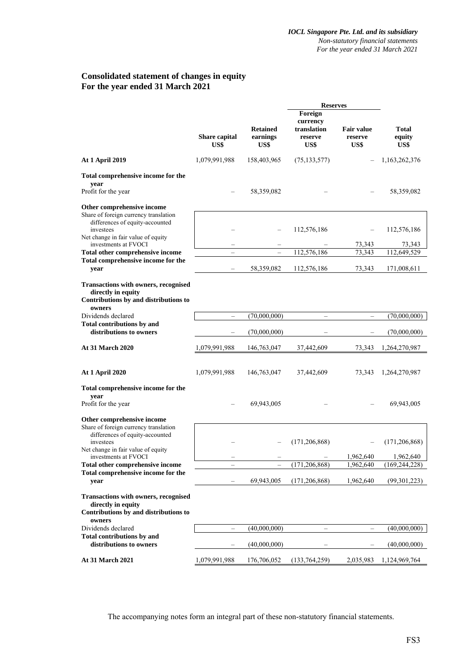#### **Consolidated statement of changes in equity For the year ended 31 March 2021**

|                                                                                                                      |                       |                                     | <b>Reserves</b>                                       |                                      |                                |
|----------------------------------------------------------------------------------------------------------------------|-----------------------|-------------------------------------|-------------------------------------------------------|--------------------------------------|--------------------------------|
|                                                                                                                      | Share capital<br>US\$ | <b>Retained</b><br>earnings<br>US\$ | Foreign<br>currency<br>translation<br>reserve<br>US\$ | <b>Fair value</b><br>reserve<br>US\$ | <b>Total</b><br>equity<br>US\$ |
| <b>At 1 April 2019</b>                                                                                               | 1,079,991,988         | 158,403,965                         | (75, 133, 577)                                        |                                      | 1,163,262,376                  |
| Total comprehensive income for the<br>year                                                                           |                       |                                     |                                                       |                                      |                                |
| Profit for the year                                                                                                  |                       | 58,359,082                          |                                                       |                                      | 58,359,082                     |
| Other comprehensive income<br>Share of foreign currency translation<br>differences of equity-accounted<br>investees  |                       |                                     | 112,576,186                                           |                                      | 112,576,186                    |
| Net change in fair value of equity<br>investments at FVOCI                                                           |                       |                                     |                                                       | 73,343                               | 73,343                         |
| Total other comprehensive income                                                                                     |                       |                                     | 112,576,186                                           | 73,343                               | 112,649,529                    |
| Total comprehensive income for the<br>year                                                                           |                       | 58,359,082                          | 112,576,186                                           | 73,343                               | 171,008,611                    |
| <b>Transactions with owners, recognised</b><br>directly in equity<br>Contributions by and distributions to<br>owners |                       |                                     |                                                       |                                      |                                |
| Dividends declared                                                                                                   |                       | (70,000,000)                        |                                                       |                                      | (70,000,000)                   |
| <b>Total contributions by and</b><br>distributions to owners                                                         |                       | (70,000,000)                        |                                                       |                                      | (70,000,000)                   |
| <b>At 31 March 2020</b>                                                                                              | 1,079,991,988         | 146,763,047                         | 37,442,609                                            | 73,343                               | 1,264,270,987                  |
| <b>At 1 April 2020</b>                                                                                               | 1,079,991,988         | 146,763,047                         | 37,442,609                                            | 73,343                               | 1,264,270,987                  |
| Total comprehensive income for the<br>year                                                                           |                       |                                     |                                                       |                                      |                                |
| Profit for the year                                                                                                  |                       | 69,943,005                          |                                                       |                                      | 69,943,005                     |
| Other comprehensive income<br>Share of foreign currency translation<br>differences of equity-accounted               |                       |                                     |                                                       |                                      |                                |
| investees<br>Net change in fair value of equity<br>investments at FVOCI                                              |                       |                                     | (171, 206, 868)                                       | 1,962,640                            | (171, 206, 868)<br>1,962,640   |
| Total other comprehensive income                                                                                     |                       |                                     | (171, 206, 868)                                       | 1,962,640                            | (169, 244, 228)                |
| Total comprehensive income for the<br>year                                                                           |                       | 69.943,005                          | (171, 206, 868)                                       | 1,962,640                            | (99,301,223)                   |
| <b>Transactions with owners, recognised</b><br>directly in equity<br>Contributions by and distributions to<br>owners |                       |                                     |                                                       |                                      |                                |
| Dividends declared                                                                                                   |                       | (40,000,000)                        | $\overline{\phantom{0}}$                              | $\overline{\phantom{0}}$             | (40,000,000)                   |
| Total contributions by and<br>distributions to owners                                                                |                       | (40,000,000)                        |                                                       |                                      | (40,000,000)                   |
| At 31 March 2021                                                                                                     | 1,079,991,988         | 176,706,052                         | (133, 764, 259)                                       | 2,035,983                            | 1,124,969,764                  |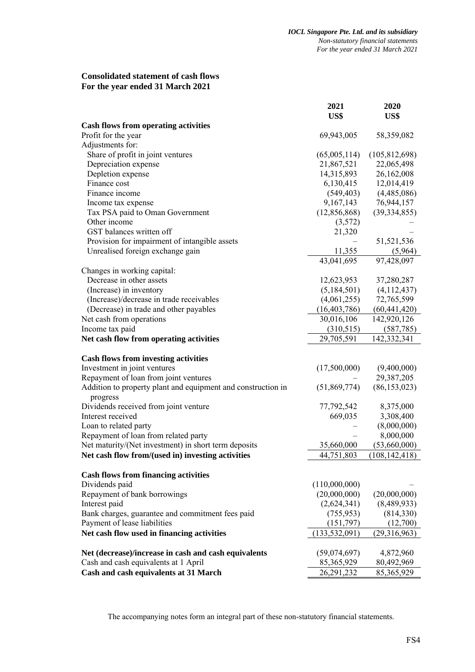#### **Consolidated statement of cash flows For the year ended 31 March 2021**

|                                                              | 2021            | 2020            |
|--------------------------------------------------------------|-----------------|-----------------|
|                                                              | US\$            | US\$            |
| <b>Cash flows from operating activities</b>                  |                 |                 |
| Profit for the year                                          | 69,943,005      | 58,359,082      |
| Adjustments for:                                             |                 |                 |
| Share of profit in joint ventures                            | (65,005,114)    | (105, 812, 698) |
| Depreciation expense                                         | 21,867,521      | 22,065,498      |
| Depletion expense                                            | 14,315,893      | 26,162,008      |
| Finance cost                                                 | 6,130,415       | 12,014,419      |
| Finance income                                               | (549, 403)      | (4,485,086)     |
| Income tax expense                                           | 9,167,143       | 76,944,157      |
| Tax PSA paid to Oman Government                              | (12,856,868)    | (39, 334, 855)  |
| Other income                                                 | (3,572)         |                 |
| GST balances written off                                     | 21,320          |                 |
| Provision for impairment of intangible assets                |                 | 51, 521, 536    |
| Unrealised foreign exchange gain                             | 11,355          | (5,964)         |
|                                                              | 43,041,695      | 97,428,097      |
| Changes in working capital:                                  |                 |                 |
| Decrease in other assets                                     | 12,623,953      | 37,280,287      |
| (Increase) in inventory                                      | (5,184,501)     | (4, 112, 437)   |
| (Increase)/decrease in trade receivables                     | (4,061,255)     | 72,765,599      |
| (Decrease) in trade and other payables                       | (16, 403, 786)  | (60, 441, 420)  |
| Net cash from operations                                     | 30,016,106      | 142,920,126     |
| Income tax paid                                              | (310,515)       | (587, 785)      |
| Net cash flow from operating activities                      | 29,705,591      | 142,332,341     |
|                                                              |                 |                 |
| <b>Cash flows from investing activities</b>                  |                 |                 |
| Investment in joint ventures                                 | (17,500,000)    | (9,400,000)     |
| Repayment of loan from joint ventures                        |                 | 29,387,205      |
| Addition to property plant and equipment and construction in | (51,869,774)    | (86, 153, 023)  |
| progress                                                     |                 |                 |
| Dividends received from joint venture                        | 77,792,542      | 8,375,000       |
| Interest received                                            | 669,035         | 3,308,400       |
| Loan to related party                                        |                 | (8,000,000)     |
| Repayment of loan from related party                         |                 | 8,000,000       |
| Net maturity/(Net investment) in short term deposits         | 35,660,000      | (53,660,000)    |
| Net cash flow from/(used in) investing activities            | 44,751,803      | (108, 142, 418) |
|                                                              |                 |                 |
| <b>Cash flows from financing activities</b>                  |                 |                 |
| Dividends paid                                               | (110,000,000)   |                 |
| Repayment of bank borrowings                                 | (20,000,000)    | (20,000,000)    |
| Interest paid                                                | (2,624,341)     | (8,489,933)     |
| Bank charges, guarantee and commitment fees paid             | (755, 953)      | (814,330)       |
| Payment of lease liabilities                                 | (151,797)       | (12,700)        |
| Net cash flow used in financing activities                   | (133, 532, 091) | (29,316,963)    |
|                                                              |                 |                 |
| Net (decrease)/increase in cash and cash equivalents         | (59,074,697)    | 4,872,960       |
| Cash and cash equivalents at 1 April                         | 85, 365, 929    | 80,492,969      |
| Cash and cash equivalents at 31 March                        | 26,291,232      | 85,365,929      |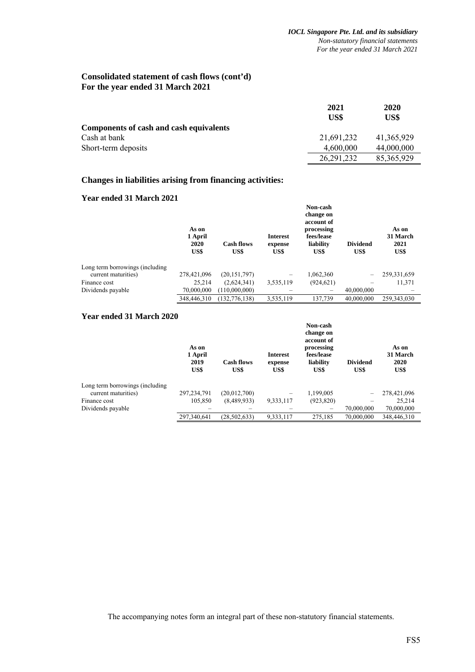#### **Consolidated statement of cash flows (cont'd) For the year ended 31 March 2021**

|                                         | 2021<br>US\$ | 2020<br>US\$ |
|-----------------------------------------|--------------|--------------|
| Components of cash and cash equivalents |              |              |
| Cash at bank                            | 21,691,232   | 41,365,929   |
| Short-term deposits                     | 4,600,000    | 44,000,000   |
|                                         | 26, 291, 232 | 85, 365, 929 |

#### **Changes in liabilities arising from financing activities:**

#### **Year ended 31 March 2021**

|                                 | As on<br>1 April<br>2020<br>US\$ | <b>Cash flows</b><br>US\$ | <b>Interest</b><br>expense<br>US\$ | Non-cash<br>change on<br>account of<br>processing<br>fees/lease<br>liability<br>US\$ | <b>Dividend</b><br>US\$ | As on<br>31 March<br>2021<br>US\$ |
|---------------------------------|----------------------------------|---------------------------|------------------------------------|--------------------------------------------------------------------------------------|-------------------------|-----------------------------------|
| Long term borrowings (including |                                  |                           |                                    |                                                                                      |                         |                                   |
| current maturities)             | 278,421,096                      | (20, 151, 797)            |                                    | 1,062,360                                                                            |                         | 259,331,659                       |
| Finance cost                    | 25,214                           | (2,624,341)               | 3,535,119                          | (924, 621)                                                                           |                         | 11,371                            |
| Dividends payable               | 70,000,000                       | (110,000,000)             | $\overline{\phantom{a}}$           | -                                                                                    | 40,000,000              |                                   |
|                                 | 348,446,310                      | (132.776.138)             | 3,535,119                          | 137,739                                                                              | 40,000,000              | 259, 343, 030                     |

#### **Year ended 31 March 2020**

|                                 | As on<br>1 April<br>2019<br>US\$ | <b>Cash flows</b><br>US\$ | <b>Interest</b><br>expense<br>US\$ | Non-cash<br>change on<br>account of<br>processing<br>fees/lease<br>liability<br>US\$ | <b>Dividend</b><br>US\$ | As on<br>31 March<br>2020<br>US\$ |
|---------------------------------|----------------------------------|---------------------------|------------------------------------|--------------------------------------------------------------------------------------|-------------------------|-----------------------------------|
| Long term borrowings (including |                                  |                           |                                    |                                                                                      |                         |                                   |
| current maturities)             | 297, 234, 791                    | (20,012,700)              | -                                  | 1,199,005                                                                            |                         | 278,421,096                       |
| Finance cost                    | 105,850                          | (8,489,933)               | 9,333,117                          | (923, 820)                                                                           |                         | 25.214                            |
| Dividends payable               | -                                | $\overline{\phantom{a}}$  |                                    | -                                                                                    | 70,000,000              | 70,000,000                        |
|                                 | 297,340,641                      | (28,502,633)              | 9,333,117                          | 275,185                                                                              | 70,000,000              | 348,446,310                       |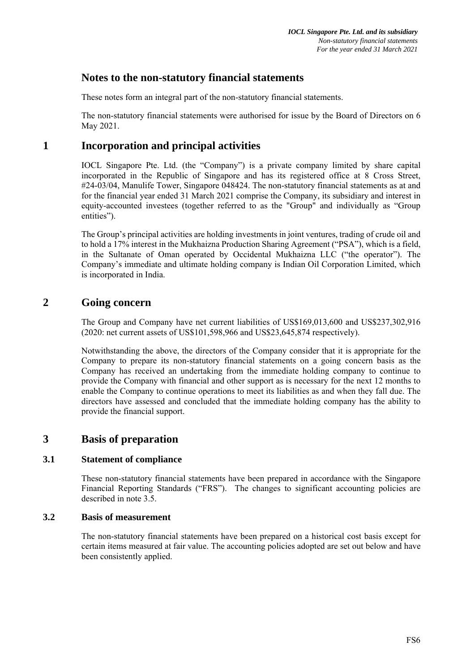## **Notes to the non-statutory financial statements**

These notes form an integral part of the non-statutory financial statements.

The non-statutory financial statements were authorised for issue by the Board of Directors on 6 May 2021.

## **1 Incorporation and principal activities**

IOCL Singapore Pte. Ltd. (the "Company") is a private company limited by share capital incorporated in the Republic of Singapore and has its registered office at 8 Cross Street, #24-03/04, Manulife Tower, Singapore 048424. The non-statutory financial statements as at and for the financial year ended 31 March 2021 comprise the Company, its subsidiary and interest in equity-accounted investees (together referred to as the "Group" and individually as "Group entities").

The Group's principal activities are holding investments in joint ventures, trading of crude oil and to hold a 17% interest in the Mukhaizna Production Sharing Agreement ("PSA"), which is a field, in the Sultanate of Oman operated by Occidental Mukhaizna LLC ("the operator"). The Company's immediate and ultimate holding company is Indian Oil Corporation Limited, which is incorporated in India.

## **2 Going concern**

The Group and Company have net current liabilities of US\$169,013,600 and US\$237,302,916 (2020: net current assets of US\$101,598,966 and US\$23,645,874 respectively).

Notwithstanding the above, the directors of the Company consider that it is appropriate for the Company to prepare its non-statutory financial statements on a going concern basis as the Company has received an undertaking from the immediate holding company to continue to provide the Company with financial and other support as is necessary for the next 12 months to enable the Company to continue operations to meet its liabilities as and when they fall due. The directors have assessed and concluded that the immediate holding company has the ability to provide the financial support.

## **3 Basis of preparation**

### **3.1 Statement of compliance**

These non-statutory financial statements have been prepared in accordance with the Singapore Financial Reporting Standards ("FRS"). The changes to significant accounting policies are described in note 3.5.

### **3.2 Basis of measurement**

The non-statutory financial statements have been prepared on a historical cost basis except for certain items measured at fair value. The accounting policies adopted are set out below and have been consistently applied.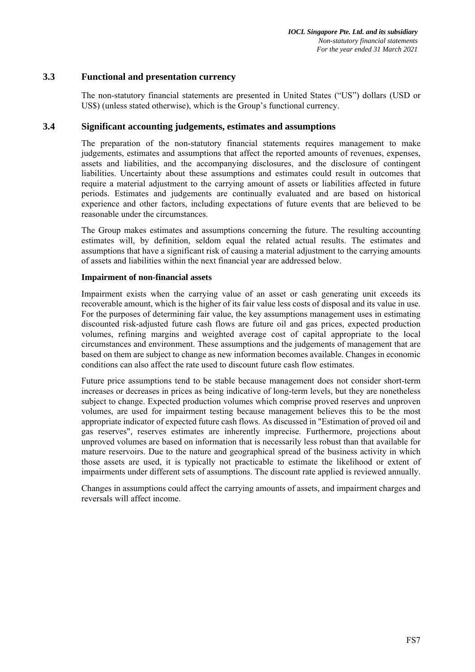### **3.3 Functional and presentation currency**

The non-statutory financial statements are presented in United States ("US") dollars (USD or US\$) (unless stated otherwise), which is the Group's functional currency.

#### **3.4 Significant accounting judgements, estimates and assumptions**

The preparation of the non-statutory financial statements requires management to make judgements, estimates and assumptions that affect the reported amounts of revenues, expenses, assets and liabilities, and the accompanying disclosures, and the disclosure of contingent liabilities. Uncertainty about these assumptions and estimates could result in outcomes that require a material adjustment to the carrying amount of assets or liabilities affected in future periods. Estimates and judgements are continually evaluated and are based on historical experience and other factors, including expectations of future events that are believed to be reasonable under the circumstances.

The Group makes estimates and assumptions concerning the future. The resulting accounting estimates will, by definition, seldom equal the related actual results. The estimates and assumptions that have a significant risk of causing a material adjustment to the carrying amounts of assets and liabilities within the next financial year are addressed below.

#### **Impairment of non-financial assets**

Impairment exists when the carrying value of an asset or cash generating unit exceeds its recoverable amount, which is the higher of its fair value less costs of disposal and its value in use. For the purposes of determining fair value, the key assumptions management uses in estimating discounted risk-adjusted future cash flows are future oil and gas prices, expected production volumes, refining margins and weighted average cost of capital appropriate to the local circumstances and environment. These assumptions and the judgements of management that are based on them are subject to change as new information becomes available. Changes in economic conditions can also affect the rate used to discount future cash flow estimates.

Future price assumptions tend to be stable because management does not consider short-term increases or decreases in prices as being indicative of long-term levels, but they are nonetheless subject to change. Expected production volumes which comprise proved reserves and unproven volumes, are used for impairment testing because management believes this to be the most appropriate indicator of expected future cash flows. As discussed in "Estimation of proved oil and gas reserves", reserves estimates are inherently imprecise. Furthermore, projections about unproved volumes are based on information that is necessarily less robust than that available for mature reservoirs. Due to the nature and geographical spread of the business activity in which those assets are used, it is typically not practicable to estimate the likelihood or extent of impairments under different sets of assumptions. The discount rate applied is reviewed annually.

Changes in assumptions could affect the carrying amounts of assets, and impairment charges and reversals will affect income.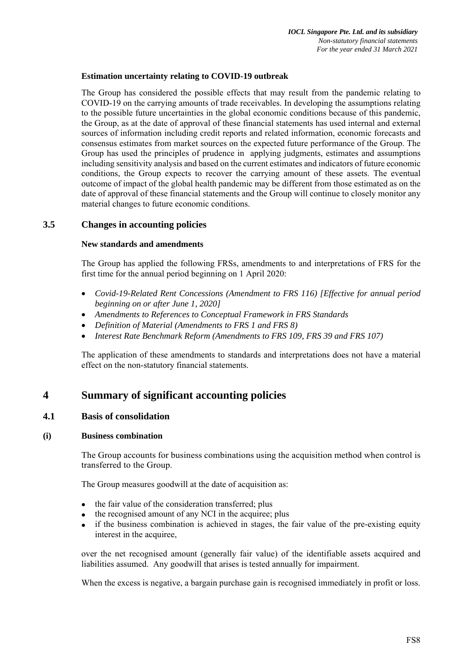#### **Estimation uncertainty relating to COVID-19 outbreak**

The Group has considered the possible effects that may result from the pandemic relating to COVID-19 on the carrying amounts of trade receivables. In developing the assumptions relating to the possible future uncertainties in the global economic conditions because of this pandemic, the Group, as at the date of approval of these financial statements has used internal and external sources of information including credit reports and related information, economic forecasts and consensus estimates from market sources on the expected future performance of the Group. The Group has used the principles of prudence in applying judgments, estimates and assumptions including sensitivity analysis and based on the current estimates and indicators of future economic conditions, the Group expects to recover the carrying amount of these assets. The eventual outcome of impact of the global health pandemic may be different from those estimated as on the date of approval of these financial statements and the Group will continue to closely monitor any material changes to future economic conditions.

#### **3.5 Changes in accounting policies**

#### **New standards and amendments**

The Group has applied the following FRSs, amendments to and interpretations of FRS for the first time for the annual period beginning on 1 April 2020:

- *Covid-19-Related Rent Concessions (Amendment to FRS 116) [Effective for annual period beginning on or after June 1, 2020]*
- *Amendments to References to Conceptual Framework in FRS Standards*
- *Definition of Material (Amendments to FRS 1 and FRS 8)*
- *Interest Rate Benchmark Reform (Amendments to FRS 109, FRS 39 and FRS 107)*

The application of these amendments to standards and interpretations does not have a material effect on the non-statutory financial statements.

### **4 Summary of significant accounting policies**

#### **4.1 Basis of consolidation**

#### **(i) Business combination**

The Group accounts for business combinations using the acquisition method when control is transferred to the Group.

The Group measures goodwill at the date of acquisition as:

- the fair value of the consideration transferred; plus
- the recognised amount of any NCI in the acquiree; plus
- if the business combination is achieved in stages, the fair value of the pre-existing equity interest in the acquiree,

over the net recognised amount (generally fair value) of the identifiable assets acquired and liabilities assumed. Any goodwill that arises is tested annually for impairment.

When the excess is negative, a bargain purchase gain is recognised immediately in profit or loss.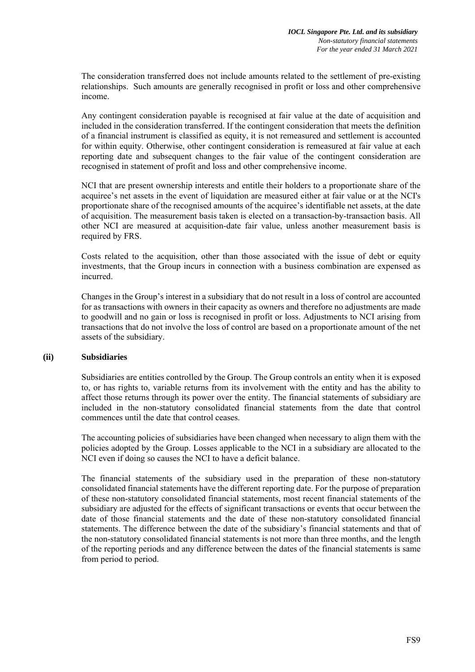The consideration transferred does not include amounts related to the settlement of pre-existing relationships. Such amounts are generally recognised in profit or loss and other comprehensive income.

Any contingent consideration payable is recognised at fair value at the date of acquisition and included in the consideration transferred. If the contingent consideration that meets the definition of a financial instrument is classified as equity, it is not remeasured and settlement is accounted for within equity. Otherwise, other contingent consideration is remeasured at fair value at each reporting date and subsequent changes to the fair value of the contingent consideration are recognised in statement of profit and loss and other comprehensive income.

NCI that are present ownership interests and entitle their holders to a proportionate share of the acquiree's net assets in the event of liquidation are measured either at fair value or at the NCI's proportionate share of the recognised amounts of the acquiree's identifiable net assets, at the date of acquisition. The measurement basis taken is elected on a transaction-by-transaction basis. All other NCI are measured at acquisition-date fair value, unless another measurement basis is required by FRS.

Costs related to the acquisition, other than those associated with the issue of debt or equity investments, that the Group incurs in connection with a business combination are expensed as incurred.

Changes in the Group's interest in a subsidiary that do not result in a loss of control are accounted for as transactions with owners in their capacity as owners and therefore no adjustments are made to goodwill and no gain or loss is recognised in profit or loss. Adjustments to NCI arising from transactions that do not involve the loss of control are based on a proportionate amount of the net assets of the subsidiary.

#### **(ii) Subsidiaries**

Subsidiaries are entities controlled by the Group. The Group controls an entity when it is exposed to, or has rights to, variable returns from its involvement with the entity and has the ability to affect those returns through its power over the entity. The financial statements of subsidiary are included in the non-statutory consolidated financial statements from the date that control commences until the date that control ceases.

The accounting policies of subsidiaries have been changed when necessary to align them with the policies adopted by the Group. Losses applicable to the NCI in a subsidiary are allocated to the NCI even if doing so causes the NCI to have a deficit balance.

The financial statements of the subsidiary used in the preparation of these non-statutory consolidated financial statements have the different reporting date. For the purpose of preparation of these non-statutory consolidated financial statements, most recent financial statements of the subsidiary are adjusted for the effects of significant transactions or events that occur between the date of those financial statements and the date of these non-statutory consolidated financial statements. The difference between the date of the subsidiary's financial statements and that of the non-statutory consolidated financial statements is not more than three months, and the length of the reporting periods and any difference between the dates of the financial statements is same from period to period.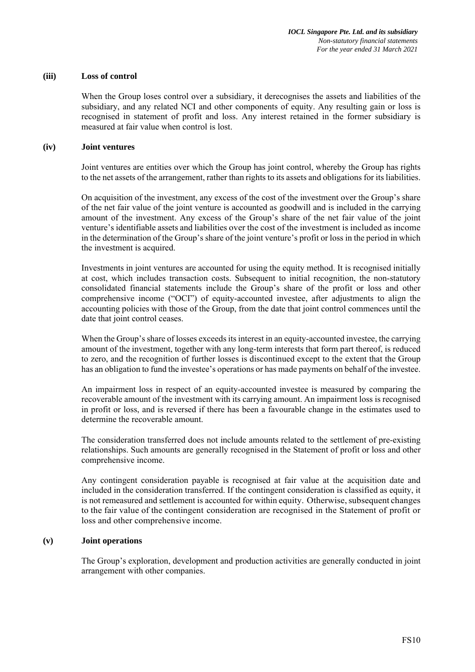#### **(iii) Loss of control**

When the Group loses control over a subsidiary, it derecognises the assets and liabilities of the subsidiary, and any related NCI and other components of equity. Any resulting gain or loss is recognised in statement of profit and loss. Any interest retained in the former subsidiary is measured at fair value when control is lost.

#### **(iv) Joint ventures**

Joint ventures are entities over which the Group has joint control, whereby the Group has rights to the net assets of the arrangement, rather than rights to its assets and obligations for its liabilities.

On acquisition of the investment, any excess of the cost of the investment over the Group's share of the net fair value of the joint venture is accounted as goodwill and is included in the carrying amount of the investment. Any excess of the Group's share of the net fair value of the joint venture's identifiable assets and liabilities over the cost of the investment is included as income in the determination of the Group's share of the joint venture's profit or loss in the period in which the investment is acquired.

Investments in joint ventures are accounted for using the equity method. It is recognised initially at cost, which includes transaction costs. Subsequent to initial recognition, the non-statutory consolidated financial statements include the Group's share of the profit or loss and other comprehensive income ("OCI") of equity-accounted investee, after adjustments to align the accounting policies with those of the Group, from the date that joint control commences until the date that joint control ceases.

When the Group's share of losses exceeds its interest in an equity-accounted investee, the carrying amount of the investment, together with any long-term interests that form part thereof, is reduced to zero, and the recognition of further losses is discontinued except to the extent that the Group has an obligation to fund the investee's operations or has made payments on behalf of the investee.

An impairment loss in respect of an equity-accounted investee is measured by comparing the recoverable amount of the investment with its carrying amount. An impairment loss is recognised in profit or loss, and is reversed if there has been a favourable change in the estimates used to determine the recoverable amount.

The consideration transferred does not include amounts related to the settlement of pre-existing relationships. Such amounts are generally recognised in the Statement of profit or loss and other comprehensive income.

Any contingent consideration payable is recognised at fair value at the acquisition date and included in the consideration transferred. If the contingent consideration is classified as equity, it is not remeasured and settlement is accounted for within equity. Otherwise, subsequent changes to the fair value of the contingent consideration are recognised in the Statement of profit or loss and other comprehensive income.

#### **(v) Joint operations**

The Group's exploration, development and production activities are generally conducted in joint arrangement with other companies.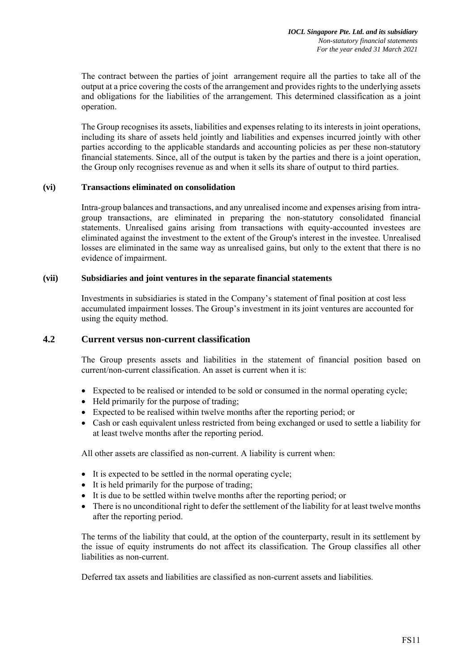The contract between the parties of joint arrangement require all the parties to take all of the output at a price covering the costs of the arrangement and provides rights to the underlying assets and obligations for the liabilities of the arrangement. This determined classification as a joint operation.

The Group recognises its assets, liabilities and expenses relating to its interests in joint operations, including its share of assets held jointly and liabilities and expenses incurred jointly with other parties according to the applicable standards and accounting policies as per these non-statutory financial statements. Since, all of the output is taken by the parties and there is a joint operation, the Group only recognises revenue as and when it sells its share of output to third parties.

#### **(vi) Transactions eliminated on consolidation**

Intra-group balances and transactions, and any unrealised income and expenses arising from intragroup transactions, are eliminated in preparing the non-statutory consolidated financial statements. Unrealised gains arising from transactions with equity-accounted investees are eliminated against the investment to the extent of the Group's interest in the investee. Unrealised losses are eliminated in the same way as unrealised gains, but only to the extent that there is no evidence of impairment.

#### **(vii) Subsidiaries and joint ventures in the separate financial statements**

Investments in subsidiaries is stated in the Company's statement of final position at cost less accumulated impairment losses. The Group's investment in its joint ventures are accounted for using the equity method.

#### **4.2 Current versus non-current classification**

The Group presents assets and liabilities in the statement of financial position based on current/non-current classification. An asset is current when it is:

- Expected to be realised or intended to be sold or consumed in the normal operating cycle;
- Held primarily for the purpose of trading;
- Expected to be realised within twelve months after the reporting period; or
- Cash or cash equivalent unless restricted from being exchanged or used to settle a liability for at least twelve months after the reporting period.

All other assets are classified as non-current. A liability is current when:

- It is expected to be settled in the normal operating cycle;
- It is held primarily for the purpose of trading;
- It is due to be settled within twelve months after the reporting period; or
- There is no unconditional right to defer the settlement of the liability for at least twelve months after the reporting period.

The terms of the liability that could, at the option of the counterparty, result in its settlement by the issue of equity instruments do not affect its classification. The Group classifies all other liabilities as non-current.

Deferred tax assets and liabilities are classified as non-current assets and liabilities.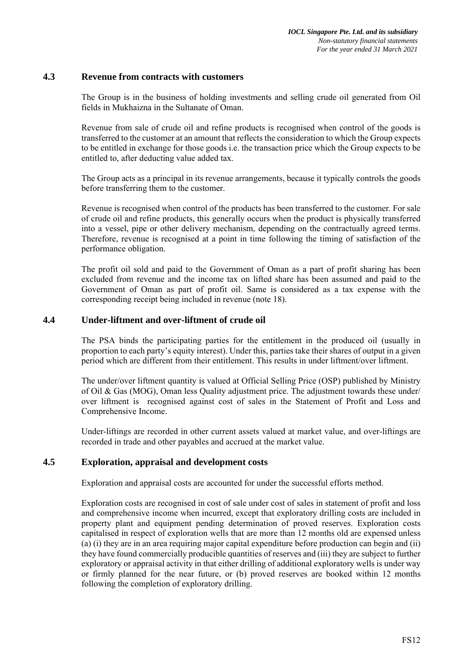### **4.3 Revenue from contracts with customers**

The Group is in the business of holding investments and selling crude oil generated from Oil fields in Mukhaizna in the Sultanate of Oman.

Revenue from sale of crude oil and refine products is recognised when control of the goods is transferred to the customer at an amount that reflects the consideration to which the Group expects to be entitled in exchange for those goods i.e. the transaction price which the Group expects to be entitled to, after deducting value added tax.

The Group acts as a principal in its revenue arrangements, because it typically controls the goods before transferring them to the customer.

Revenue is recognised when control of the products has been transferred to the customer. For sale of crude oil and refine products, this generally occurs when the product is physically transferred into a vessel, pipe or other delivery mechanism, depending on the contractually agreed terms. Therefore, revenue is recognised at a point in time following the timing of satisfaction of the performance obligation.

The profit oil sold and paid to the Government of Oman as a part of profit sharing has been excluded from revenue and the income tax on lifted share has been assumed and paid to the Government of Oman as part of profit oil. Same is considered as a tax expense with the corresponding receipt being included in revenue (note 18).

### **4.4 Under-liftment and over-liftment of crude oil**

The PSA binds the participating parties for the entitlement in the produced oil (usually in proportion to each party's equity interest). Under this, parties take their shares of output in a given period which are different from their entitlement. This results in under liftment/over liftment.

The under/over liftment quantity is valued at Official Selling Price (OSP) published by Ministry of Oil & Gas (MOG), Oman less Quality adjustment price. The adjustment towards these under/ over liftment is recognised against cost of sales in the Statement of Profit and Loss and Comprehensive Income.

Under-liftings are recorded in other current assets valued at market value, and over-liftings are recorded in trade and other payables and accrued at the market value.

### **4.5 Exploration, appraisal and development costs**

Exploration and appraisal costs are accounted for under the successful efforts method.

Exploration costs are recognised in cost of sale under cost of sales in statement of profit and loss and comprehensive income when incurred, except that exploratory drilling costs are included in property plant and equipment pending determination of proved reserves. Exploration costs capitalised in respect of exploration wells that are more than 12 months old are expensed unless (a) (i) they are in an area requiring major capital expenditure before production can begin and (ii) they have found commercially producible quantities of reserves and (iii) they are subject to further exploratory or appraisal activity in that either drilling of additional exploratory wells is under way or firmly planned for the near future, or (b) proved reserves are booked within 12 months following the completion of exploratory drilling.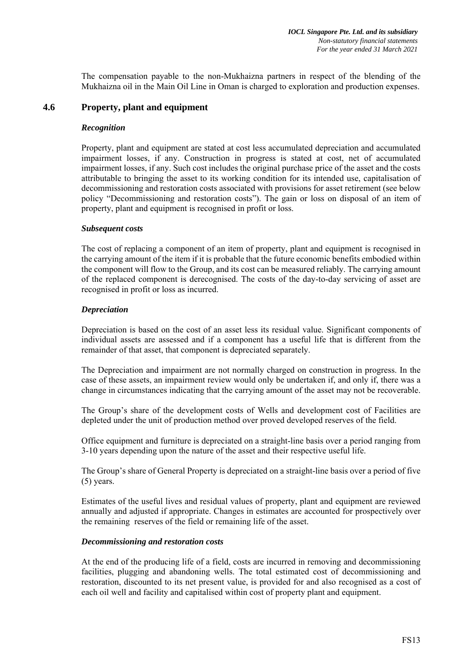The compensation payable to the non-Mukhaizna partners in respect of the blending of the Mukhaizna oil in the Main Oil Line in Oman is charged to exploration and production expenses.

#### **4.6 Property, plant and equipment**

#### *Recognition*

Property, plant and equipment are stated at cost less accumulated depreciation and accumulated impairment losses, if any. Construction in progress is stated at cost, net of accumulated impairment losses, if any. Such cost includes the original purchase price of the asset and the costs attributable to bringing the asset to its working condition for its intended use, capitalisation of decommissioning and restoration costs associated with provisions for asset retirement (see below policy "Decommissioning and restoration costs"). The gain or loss on disposal of an item of property, plant and equipment is recognised in profit or loss.

#### *Subsequent costs*

The cost of replacing a component of an item of property, plant and equipment is recognised in the carrying amount of the item if it is probable that the future economic benefits embodied within the component will flow to the Group, and its cost can be measured reliably. The carrying amount of the replaced component is derecognised. The costs of the day-to-day servicing of asset are recognised in profit or loss as incurred.

#### *Depreciation*

Depreciation is based on the cost of an asset less its residual value. Significant components of individual assets are assessed and if a component has a useful life that is different from the remainder of that asset, that component is depreciated separately.

The Depreciation and impairment are not normally charged on construction in progress. In the case of these assets, an impairment review would only be undertaken if, and only if, there was a change in circumstances indicating that the carrying amount of the asset may not be recoverable.

The Group's share of the development costs of Wells and development cost of Facilities are depleted under the unit of production method over proved developed reserves of the field.

Office equipment and furniture is depreciated on a straight-line basis over a period ranging from 3-10 years depending upon the nature of the asset and their respective useful life.

The Group's share of General Property is depreciated on a straight-line basis over a period of five (5) years.

Estimates of the useful lives and residual values of property, plant and equipment are reviewed annually and adjusted if appropriate. Changes in estimates are accounted for prospectively over the remaining reserves of the field or remaining life of the asset.

#### *Decommissioning and restoration costs*

At the end of the producing life of a field, costs are incurred in removing and decommissioning facilities, plugging and abandoning wells. The total estimated cost of decommissioning and restoration, discounted to its net present value, is provided for and also recognised as a cost of each oil well and facility and capitalised within cost of property plant and equipment.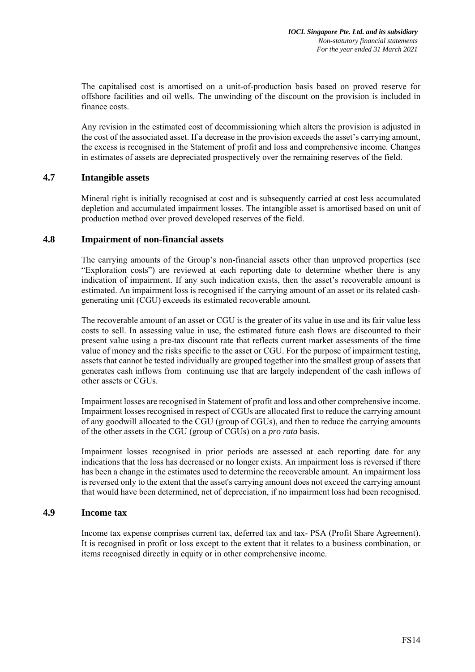The capitalised cost is amortised on a unit-of-production basis based on proved reserve for offshore facilities and oil wells. The unwinding of the discount on the provision is included in finance costs.

Any revision in the estimated cost of decommissioning which alters the provision is adjusted in the cost of the associated asset. If a decrease in the provision exceeds the asset's carrying amount, the excess is recognised in the Statement of profit and loss and comprehensive income. Changes in estimates of assets are depreciated prospectively over the remaining reserves of the field.

#### **4.7 Intangible assets**

Mineral right is initially recognised at cost and is subsequently carried at cost less accumulated depletion and accumulated impairment losses. The intangible asset is amortised based on unit of production method over proved developed reserves of the field.

#### **4.8 Impairment of non-financial assets**

The carrying amounts of the Group's non-financial assets other than unproved properties (see "Exploration costs") are reviewed at each reporting date to determine whether there is any indication of impairment. If any such indication exists, then the asset's recoverable amount is estimated. An impairment loss is recognised if the carrying amount of an asset or its related cashgenerating unit (CGU) exceeds its estimated recoverable amount.

The recoverable amount of an asset or CGU is the greater of its value in use and its fair value less costs to sell. In assessing value in use, the estimated future cash flows are discounted to their present value using a pre-tax discount rate that reflects current market assessments of the time value of money and the risks specific to the asset or CGU. For the purpose of impairment testing, assets that cannot be tested individually are grouped together into the smallest group of assets that generates cash inflows from continuing use that are largely independent of the cash inflows of other assets or CGUs.

Impairment losses are recognised in Statement of profit and loss and other comprehensive income. Impairment losses recognised in respect of CGUs are allocated first to reduce the carrying amount of any goodwill allocated to the CGU (group of CGUs), and then to reduce the carrying amounts of the other assets in the CGU (group of CGUs) on a *pro rata* basis.

Impairment losses recognised in prior periods are assessed at each reporting date for any indications that the loss has decreased or no longer exists. An impairment loss is reversed if there has been a change in the estimates used to determine the recoverable amount. An impairment loss is reversed only to the extent that the asset's carrying amount does not exceed the carrying amount that would have been determined, net of depreciation, if no impairment loss had been recognised.

### **4.9 Income tax**

Income tax expense comprises current tax, deferred tax and tax- PSA (Profit Share Agreement). It is recognised in profit or loss except to the extent that it relates to a business combination, or items recognised directly in equity or in other comprehensive income.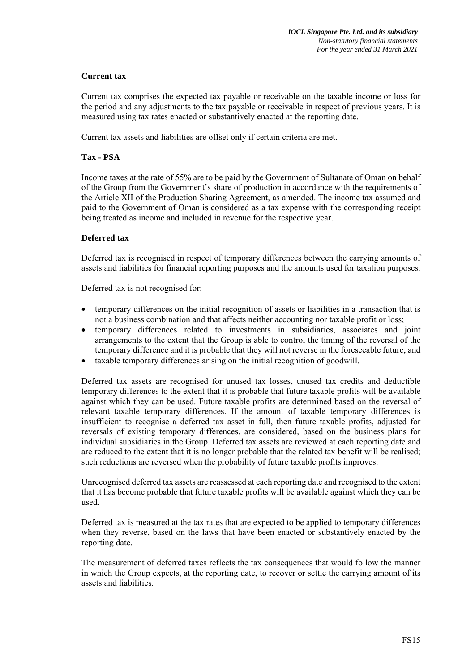#### **Current tax**

Current tax comprises the expected tax payable or receivable on the taxable income or loss for the period and any adjustments to the tax payable or receivable in respect of previous years. It is measured using tax rates enacted or substantively enacted at the reporting date.

Current tax assets and liabilities are offset only if certain criteria are met.

#### **Tax - PSA**

Income taxes at the rate of 55% are to be paid by the Government of Sultanate of Oman on behalf of the Group from the Government's share of production in accordance with the requirements of the Article XII of the Production Sharing Agreement, as amended. The income tax assumed and paid to the Government of Oman is considered as a tax expense with the corresponding receipt being treated as income and included in revenue for the respective year.

#### **Deferred tax**

Deferred tax is recognised in respect of temporary differences between the carrying amounts of assets and liabilities for financial reporting purposes and the amounts used for taxation purposes.

Deferred tax is not recognised for:

- temporary differences on the initial recognition of assets or liabilities in a transaction that is not a business combination and that affects neither accounting nor taxable profit or loss;
- temporary differences related to investments in subsidiaries, associates and joint arrangements to the extent that the Group is able to control the timing of the reversal of the temporary difference and it is probable that they will not reverse in the foreseeable future; and
- taxable temporary differences arising on the initial recognition of goodwill.

Deferred tax assets are recognised for unused tax losses, unused tax credits and deductible temporary differences to the extent that it is probable that future taxable profits will be available against which they can be used. Future taxable profits are determined based on the reversal of relevant taxable temporary differences. If the amount of taxable temporary differences is insufficient to recognise a deferred tax asset in full, then future taxable profits, adjusted for reversals of existing temporary differences, are considered, based on the business plans for individual subsidiaries in the Group. Deferred tax assets are reviewed at each reporting date and are reduced to the extent that it is no longer probable that the related tax benefit will be realised; such reductions are reversed when the probability of future taxable profits improves.

Unrecognised deferred tax assets are reassessed at each reporting date and recognised to the extent that it has become probable that future taxable profits will be available against which they can be used.

Deferred tax is measured at the tax rates that are expected to be applied to temporary differences when they reverse, based on the laws that have been enacted or substantively enacted by the reporting date.

The measurement of deferred taxes reflects the tax consequences that would follow the manner in which the Group expects, at the reporting date, to recover or settle the carrying amount of its assets and liabilities.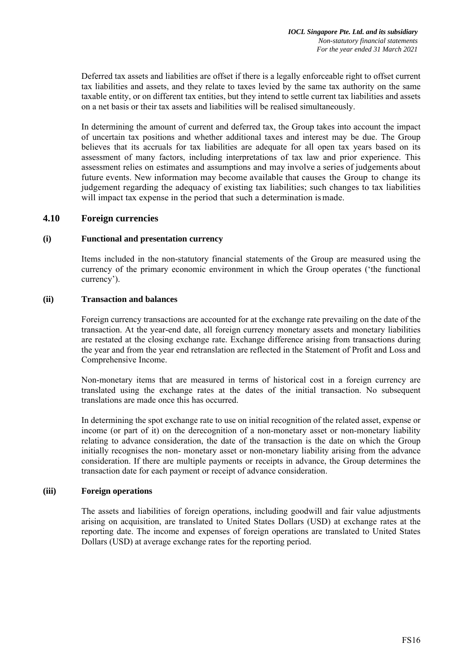Deferred tax assets and liabilities are offset if there is a legally enforceable right to offset current tax liabilities and assets, and they relate to taxes levied by the same tax authority on the same taxable entity, or on different tax entities, but they intend to settle current tax liabilities and assets on a net basis or their tax assets and liabilities will be realised simultaneously.

In determining the amount of current and deferred tax, the Group takes into account the impact of uncertain tax positions and whether additional taxes and interest may be due. The Group believes that its accruals for tax liabilities are adequate for all open tax years based on its assessment of many factors, including interpretations of tax law and prior experience. This assessment relies on estimates and assumptions and may involve a series of judgements about future events. New information may become available that causes the Group to change its judgement regarding the adequacy of existing tax liabilities; such changes to tax liabilities will impact tax expense in the period that such a determination is made.

#### **4.10 Foreign currencies**

#### **(i) Functional and presentation currency**

Items included in the non-statutory financial statements of the Group are measured using the currency of the primary economic environment in which the Group operates ('the functional currency').

#### **(ii) Transaction and balances**

Foreign currency transactions are accounted for at the exchange rate prevailing on the date of the transaction. At the year-end date, all foreign currency monetary assets and monetary liabilities are restated at the closing exchange rate. Exchange difference arising from transactions during the year and from the year end retranslation are reflected in the Statement of Profit and Loss and Comprehensive Income.

Non-monetary items that are measured in terms of historical cost in a foreign currency are translated using the exchange rates at the dates of the initial transaction. No subsequent translations are made once this has occurred.

In determining the spot exchange rate to use on initial recognition of the related asset, expense or income (or part of it) on the derecognition of a non-monetary asset or non-monetary liability relating to advance consideration, the date of the transaction is the date on which the Group initially recognises the non- monetary asset or non-monetary liability arising from the advance consideration. If there are multiple payments or receipts in advance, the Group determines the transaction date for each payment or receipt of advance consideration.

#### **(iii) Foreign operations**

The assets and liabilities of foreign operations, including goodwill and fair value adjustments arising on acquisition, are translated to United States Dollars (USD) at exchange rates at the reporting date. The income and expenses of foreign operations are translated to United States Dollars (USD) at average exchange rates for the reporting period.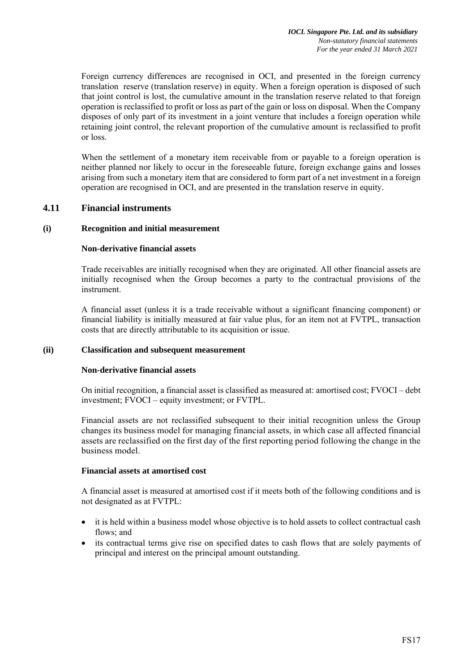Foreign currency differences are recognised in OCI, and presented in the foreign currency translation reserve (translation reserve) in equity. When a foreign operation is disposed of such that joint control is lost, the cumulative amount in the translation reserve related to that foreign operation is reclassified to profit or loss as part of the gain or loss on disposal. When the Company disposes of only part of its investment in a joint venture that includes a foreign operation while retaining joint control, the relevant proportion of the cumulative amount is reclassified to profit or loss.

When the settlement of a monetary item receivable from or payable to a foreign operation is neither planned nor likely to occur in the foreseeable future, foreign exchange gains and losses arising from such a monetary item that are considered to form part of a net investment in a foreign operation are recognised in OCI, and are presented in the translation reserve in equity.

#### **4.11 Financial instruments**

#### **(i) Recognition and initial measurement**

#### **Non-derivative financial assets**

Trade receivables are initially recognised when they are originated. All other financial assets are initially recognised when the Group becomes a party to the contractual provisions of the instrument.

A financial asset (unless it is a trade receivable without a significant financing component) or financial liability is initially measured at fair value plus, for an item not at FVTPL, transaction costs that are directly attributable to its acquisition or issue.

#### **(ii) Classification and subsequent measurement**

#### **Non-derivative financial assets**

On initial recognition, a financial asset is classified as measured at: amortised cost; FVOCI – debt investment; FVOCI – equity investment; or FVTPL.

Financial assets are not reclassified subsequent to their initial recognition unless the Group changes its business model for managing financial assets, in which case all affected financial assets are reclassified on the first day of the first reporting period following the change in the business model.

#### **Financial assets at amortised cost**

A financial asset is measured at amortised cost if it meets both of the following conditions and is not designated as at FVTPL:

- it is held within a business model whose objective is to hold assets to collect contractual cash flows; and
- its contractual terms give rise on specified dates to cash flows that are solely payments of principal and interest on the principal amount outstanding.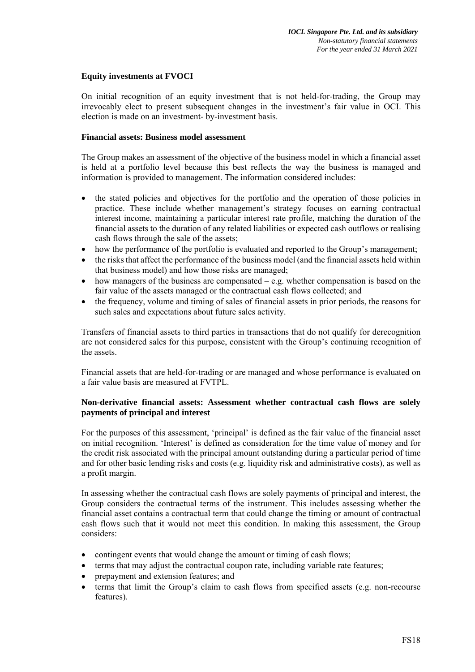#### **Equity investments at FVOCI**

On initial recognition of an equity investment that is not held-for-trading, the Group may irrevocably elect to present subsequent changes in the investment's fair value in OCI. This election is made on an investment- by-investment basis.

#### **Financial assets: Business model assessment**

The Group makes an assessment of the objective of the business model in which a financial asset is held at a portfolio level because this best reflects the way the business is managed and information is provided to management. The information considered includes:

- the stated policies and objectives for the portfolio and the operation of those policies in practice. These include whether management's strategy focuses on earning contractual interest income, maintaining a particular interest rate profile, matching the duration of the financial assets to the duration of any related liabilities or expected cash outflows or realising cash flows through the sale of the assets;
- how the performance of the portfolio is evaluated and reported to the Group's management;
- the risks that affect the performance of the business model (and the financial assets held within that business model) and how those risks are managed;
- $\bullet$  how managers of the business are compensated e.g. whether compensation is based on the fair value of the assets managed or the contractual cash flows collected; and
- the frequency, volume and timing of sales of financial assets in prior periods, the reasons for such sales and expectations about future sales activity.

Transfers of financial assets to third parties in transactions that do not qualify for derecognition are not considered sales for this purpose, consistent with the Group's continuing recognition of the assets.

Financial assets that are held-for-trading or are managed and whose performance is evaluated on a fair value basis are measured at FVTPL.

#### **Non-derivative financial assets: Assessment whether contractual cash flows are solely payments of principal and interest**

For the purposes of this assessment, 'principal' is defined as the fair value of the financial asset on initial recognition. 'Interest' is defined as consideration for the time value of money and for the credit risk associated with the principal amount outstanding during a particular period of time and for other basic lending risks and costs (e.g. liquidity risk and administrative costs), as well as a profit margin.

In assessing whether the contractual cash flows are solely payments of principal and interest, the Group considers the contractual terms of the instrument. This includes assessing whether the financial asset contains a contractual term that could change the timing or amount of contractual cash flows such that it would not meet this condition. In making this assessment, the Group considers:

- contingent events that would change the amount or timing of cash flows;
- terms that may adjust the contractual coupon rate, including variable rate features;
- prepayment and extension features; and
- terms that limit the Group's claim to cash flows from specified assets (e.g. non-recourse features).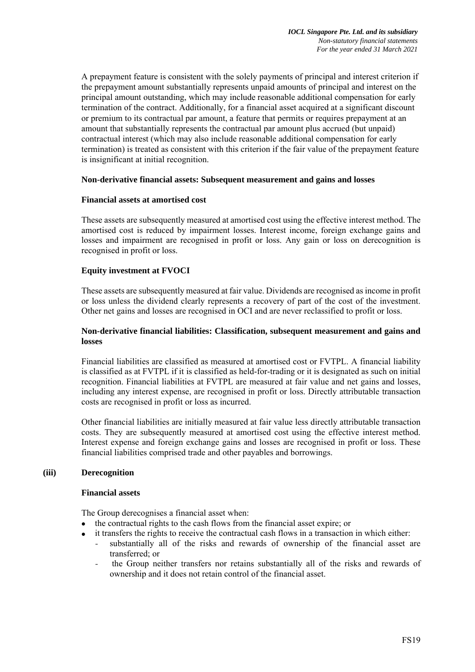A prepayment feature is consistent with the solely payments of principal and interest criterion if the prepayment amount substantially represents unpaid amounts of principal and interest on the principal amount outstanding, which may include reasonable additional compensation for early termination of the contract. Additionally, for a financial asset acquired at a significant discount or premium to its contractual par amount, a feature that permits or requires prepayment at an amount that substantially represents the contractual par amount plus accrued (but unpaid) contractual interest (which may also include reasonable additional compensation for early termination) is treated as consistent with this criterion if the fair value of the prepayment feature is insignificant at initial recognition.

#### **Non-derivative financial assets: Subsequent measurement and gains and losses**

#### **Financial assets at amortised cost**

These assets are subsequently measured at amortised cost using the effective interest method. The amortised cost is reduced by impairment losses. Interest income, foreign exchange gains and losses and impairment are recognised in profit or loss. Any gain or loss on derecognition is recognised in profit or loss.

#### **Equity investment at FVOCI**

These assets are subsequently measured at fair value. Dividends are recognised as income in profit or loss unless the dividend clearly represents a recovery of part of the cost of the investment. Other net gains and losses are recognised in OCI and are never reclassified to profit or loss.

#### **Non-derivative financial liabilities: Classification, subsequent measurement and gains and losses**

Financial liabilities are classified as measured at amortised cost or FVTPL. A financial liability is classified as at FVTPL if it is classified as held-for-trading or it is designated as such on initial recognition. Financial liabilities at FVTPL are measured at fair value and net gains and losses, including any interest expense, are recognised in profit or loss. Directly attributable transaction costs are recognised in profit or loss as incurred.

Other financial liabilities are initially measured at fair value less directly attributable transaction costs. They are subsequently measured at amortised cost using the effective interest method. Interest expense and foreign exchange gains and losses are recognised in profit or loss. These financial liabilities comprised trade and other payables and borrowings.

#### **(iii) Derecognition**

#### **Financial assets**

The Group derecognises a financial asset when:

- the contractual rights to the cash flows from the financial asset expire; or
- it transfers the rights to receive the contractual cash flows in a transaction in which either:
	- substantially all of the risks and rewards of ownership of the financial asset are transferred; or
	- the Group neither transfers nor retains substantially all of the risks and rewards of ownership and it does not retain control of the financial asset.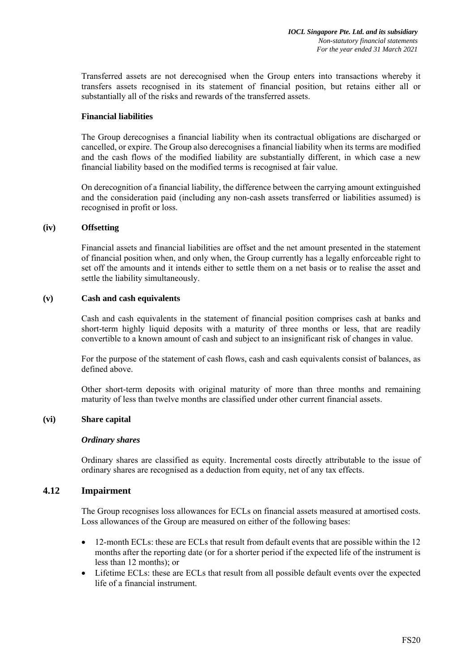Transferred assets are not derecognised when the Group enters into transactions whereby it transfers assets recognised in its statement of financial position, but retains either all or substantially all of the risks and rewards of the transferred assets.

#### **Financial liabilities**

The Group derecognises a financial liability when its contractual obligations are discharged or cancelled, or expire. The Group also derecognises a financial liability when its terms are modified and the cash flows of the modified liability are substantially different, in which case a new financial liability based on the modified terms is recognised at fair value.

On derecognition of a financial liability, the difference between the carrying amount extinguished and the consideration paid (including any non-cash assets transferred or liabilities assumed) is recognised in profit or loss.

#### **(iv) Offsetting**

Financial assets and financial liabilities are offset and the net amount presented in the statement of financial position when, and only when, the Group currently has a legally enforceable right to set off the amounts and it intends either to settle them on a net basis or to realise the asset and settle the liability simultaneously.

#### **(v) Cash and cash equivalents**

Cash and cash equivalents in the statement of financial position comprises cash at banks and short-term highly liquid deposits with a maturity of three months or less, that are readily convertible to a known amount of cash and subject to an insignificant risk of changes in value.

For the purpose of the statement of cash flows, cash and cash equivalents consist of balances, as defined above.

Other short-term deposits with original maturity of more than three months and remaining maturity of less than twelve months are classified under other current financial assets.

#### **(vi) Share capital**

#### *Ordinary shares*

Ordinary shares are classified as equity. Incremental costs directly attributable to the issue of ordinary shares are recognised as a deduction from equity, net of any tax effects.

#### **4.12 Impairment**

The Group recognises loss allowances for ECLs on financial assets measured at amortised costs. Loss allowances of the Group are measured on either of the following bases:

- 12-month ECLs: these are ECLs that result from default events that are possible within the 12 months after the reporting date (or for a shorter period if the expected life of the instrument is less than 12 months); or
- Lifetime ECLs: these are ECLs that result from all possible default events over the expected life of a financial instrument.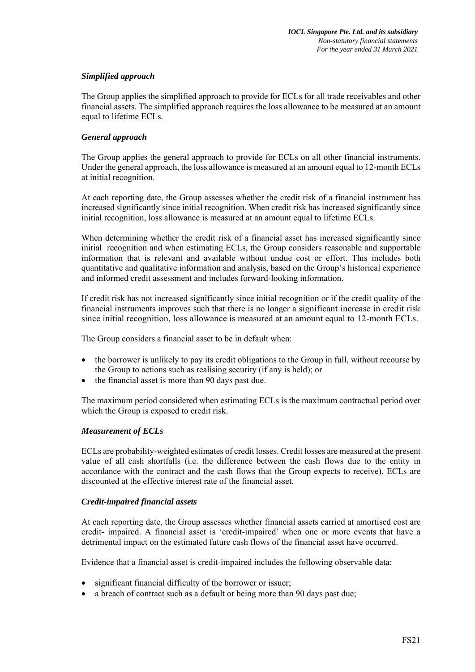#### *Simplified approach*

The Group applies the simplified approach to provide for ECLs for all trade receivables and other financial assets. The simplified approach requires the loss allowance to be measured at an amount equal to lifetime ECLs.

#### *General approach*

The Group applies the general approach to provide for ECLs on all other financial instruments. Under the general approach, the loss allowance is measured at an amount equal to 12-month ECLs at initial recognition.

At each reporting date, the Group assesses whether the credit risk of a financial instrument has increased significantly since initial recognition. When credit risk has increased significantly since initial recognition, loss allowance is measured at an amount equal to lifetime ECLs.

When determining whether the credit risk of a financial asset has increased significantly since initial recognition and when estimating ECLs, the Group considers reasonable and supportable information that is relevant and available without undue cost or effort. This includes both quantitative and qualitative information and analysis, based on the Group's historical experience and informed credit assessment and includes forward-looking information.

If credit risk has not increased significantly since initial recognition or if the credit quality of the financial instruments improves such that there is no longer a significant increase in credit risk since initial recognition, loss allowance is measured at an amount equal to 12-month ECLs.

The Group considers a financial asset to be in default when:

- the borrower is unlikely to pay its credit obligations to the Group in full, without recourse by the Group to actions such as realising security (if any is held); or
- the financial asset is more than 90 days past due.

The maximum period considered when estimating ECLs is the maximum contractual period over which the Group is exposed to credit risk.

#### *Measurement of ECLs*

ECLs are probability-weighted estimates of credit losses. Credit losses are measured at the present value of all cash shortfalls (i.e. the difference between the cash flows due to the entity in accordance with the contract and the cash flows that the Group expects to receive). ECLs are discounted at the effective interest rate of the financial asset.

#### *Credit-impaired financial assets*

At each reporting date, the Group assesses whether financial assets carried at amortised cost are credit- impaired. A financial asset is 'credit-impaired' when one or more events that have a detrimental impact on the estimated future cash flows of the financial asset have occurred.

Evidence that a financial asset is credit-impaired includes the following observable data:

- significant financial difficulty of the borrower or issuer;
- a breach of contract such as a default or being more than 90 days past due;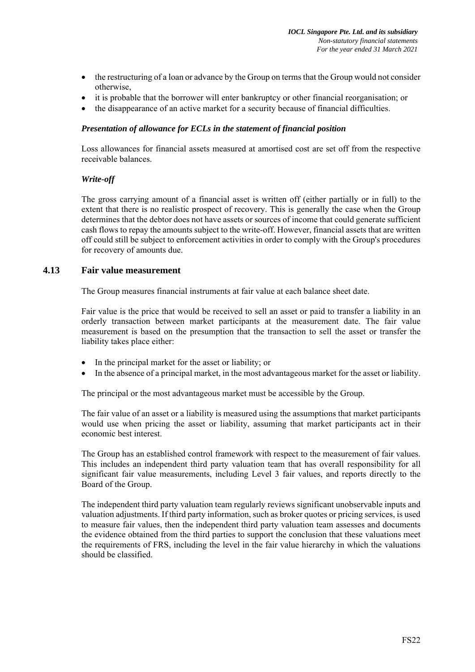- the restructuring of a loan or advance by the Group on terms that the Group would not consider otherwise,
- it is probable that the borrower will enter bankruptcy or other financial reorganisation; or
- the disappearance of an active market for a security because of financial difficulties.

#### *Presentation of allowance for ECLs in the statement of financial position*

Loss allowances for financial assets measured at amortised cost are set off from the respective receivable balances.

#### *Write-off*

The gross carrying amount of a financial asset is written off (either partially or in full) to the extent that there is no realistic prospect of recovery. This is generally the case when the Group determines that the debtor does not have assets or sources of income that could generate sufficient cash flows to repay the amounts subject to the write-off. However, financial assets that are written off could still be subject to enforcement activities in order to comply with the Group's procedures for recovery of amounts due.

#### **4.13 Fair value measurement**

The Group measures financial instruments at fair value at each balance sheet date.

Fair value is the price that would be received to sell an asset or paid to transfer a liability in an orderly transaction between market participants at the measurement date. The fair value measurement is based on the presumption that the transaction to sell the asset or transfer the liability takes place either:

- In the principal market for the asset or liability; or
- In the absence of a principal market, in the most advantageous market for the asset or liability.

The principal or the most advantageous market must be accessible by the Group.

The fair value of an asset or a liability is measured using the assumptions that market participants would use when pricing the asset or liability, assuming that market participants act in their economic best interest.

The Group has an established control framework with respect to the measurement of fair values. This includes an independent third party valuation team that has overall responsibility for all significant fair value measurements, including Level 3 fair values, and reports directly to the Board of the Group.

The independent third party valuation team regularly reviews significant unobservable inputs and valuation adjustments. If third party information, such as broker quotes or pricing services, is used to measure fair values, then the independent third party valuation team assesses and documents the evidence obtained from the third parties to support the conclusion that these valuations meet the requirements of FRS, including the level in the fair value hierarchy in which the valuations should be classified.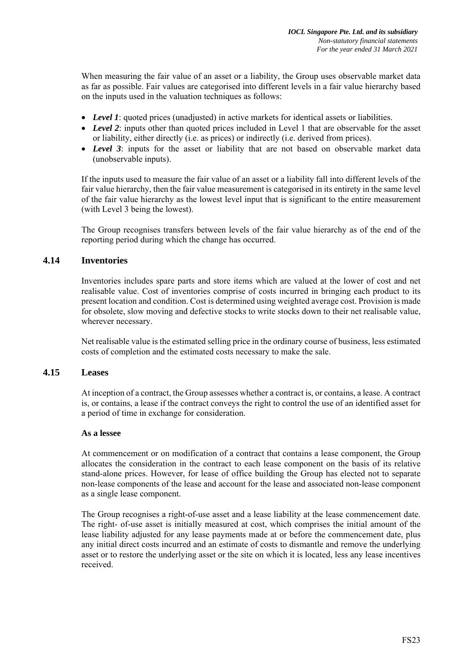When measuring the fair value of an asset or a liability, the Group uses observable market data as far as possible. Fair values are categorised into different levels in a fair value hierarchy based on the inputs used in the valuation techniques as follows:

- *Level 1*: quoted prices (unadjusted) in active markets for identical assets or liabilities.
- Level 2: inputs other than quoted prices included in Level 1 that are observable for the asset or liability, either directly (i.e. as prices) or indirectly (i.e. derived from prices).
- Level 3: inputs for the asset or liability that are not based on observable market data (unobservable inputs).

If the inputs used to measure the fair value of an asset or a liability fall into different levels of the fair value hierarchy, then the fair value measurement is categorised in its entirety in the same level of the fair value hierarchy as the lowest level input that is significant to the entire measurement (with Level 3 being the lowest).

The Group recognises transfers between levels of the fair value hierarchy as of the end of the reporting period during which the change has occurred.

#### **4.14 Inventories**

Inventories includes spare parts and store items which are valued at the lower of cost and net realisable value. Cost of inventories comprise of costs incurred in bringing each product to its present location and condition. Cost is determined using weighted average cost. Provision is made for obsolete, slow moving and defective stocks to write stocks down to their net realisable value, wherever necessary.

Net realisable value is the estimated selling price in the ordinary course of business, less estimated costs of completion and the estimated costs necessary to make the sale.

#### **4.15 Leases**

At inception of a contract, the Group assesses whether a contract is, or contains, a lease. A contract is, or contains, a lease if the contract conveys the right to control the use of an identified asset for a period of time in exchange for consideration.

#### **As a lessee**

At commencement or on modification of a contract that contains a lease component, the Group allocates the consideration in the contract to each lease component on the basis of its relative stand-alone prices. However, for lease of office building the Group has elected not to separate non-lease components of the lease and account for the lease and associated non-lease component as a single lease component.

The Group recognises a right-of-use asset and a lease liability at the lease commencement date. The right- of-use asset is initially measured at cost, which comprises the initial amount of the lease liability adjusted for any lease payments made at or before the commencement date, plus any initial direct costs incurred and an estimate of costs to dismantle and remove the underlying asset or to restore the underlying asset or the site on which it is located, less any lease incentives received.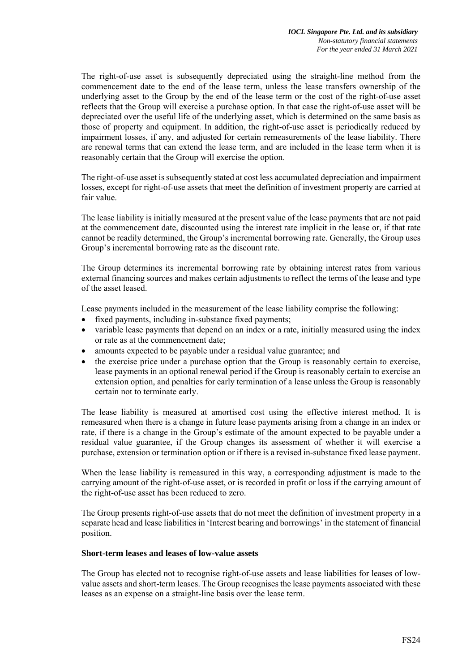The right-of-use asset is subsequently depreciated using the straight-line method from the commencement date to the end of the lease term, unless the lease transfers ownership of the underlying asset to the Group by the end of the lease term or the cost of the right-of-use asset reflects that the Group will exercise a purchase option. In that case the right-of-use asset will be depreciated over the useful life of the underlying asset, which is determined on the same basis as those of property and equipment. In addition, the right-of-use asset is periodically reduced by impairment losses, if any, and adjusted for certain remeasurements of the lease liability. There are renewal terms that can extend the lease term, and are included in the lease term when it is reasonably certain that the Group will exercise the option.

The right-of-use asset is subsequently stated at cost less accumulated depreciation and impairment losses, except for right-of-use assets that meet the definition of investment property are carried at fair value.

The lease liability is initially measured at the present value of the lease payments that are not paid at the commencement date, discounted using the interest rate implicit in the lease or, if that rate cannot be readily determined, the Group's incremental borrowing rate. Generally, the Group uses Group's incremental borrowing rate as the discount rate.

The Group determines its incremental borrowing rate by obtaining interest rates from various external financing sources and makes certain adjustments to reflect the terms of the lease and type of the asset leased.

Lease payments included in the measurement of the lease liability comprise the following:

- fixed payments, including in-substance fixed payments;
- variable lease payments that depend on an index or a rate, initially measured using the index or rate as at the commencement date;
- amounts expected to be payable under a residual value guarantee; and
- the exercise price under a purchase option that the Group is reasonably certain to exercise, lease payments in an optional renewal period if the Group is reasonably certain to exercise an extension option, and penalties for early termination of a lease unless the Group is reasonably certain not to terminate early.

The lease liability is measured at amortised cost using the effective interest method. It is remeasured when there is a change in future lease payments arising from a change in an index or rate, if there is a change in the Group's estimate of the amount expected to be payable under a residual value guarantee, if the Group changes its assessment of whether it will exercise a purchase, extension or termination option or if there is a revised in-substance fixed lease payment.

When the lease liability is remeasured in this way, a corresponding adjustment is made to the carrying amount of the right-of-use asset, or is recorded in profit or loss if the carrying amount of the right-of-use asset has been reduced to zero.

The Group presents right-of-use assets that do not meet the definition of investment property in a separate head and lease liabilities in 'Interest bearing and borrowings' in the statement of financial position.

#### **Short-term leases and leases of low-value assets**

The Group has elected not to recognise right-of-use assets and lease liabilities for leases of lowvalue assets and short-term leases. The Group recognises the lease payments associated with these leases as an expense on a straight-line basis over the lease term.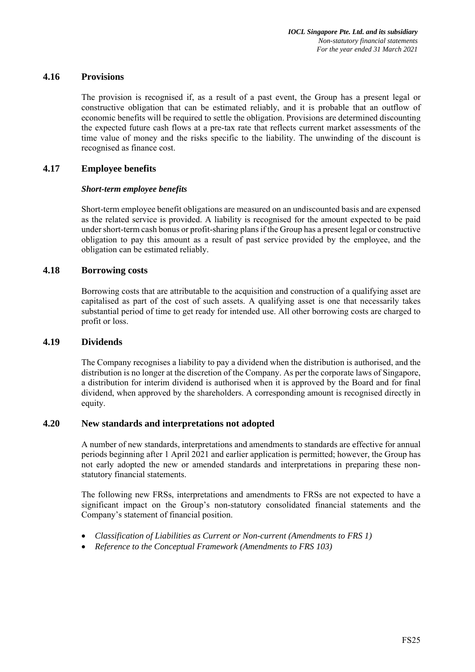### **4.16 Provisions**

The provision is recognised if, as a result of a past event, the Group has a present legal or constructive obligation that can be estimated reliably, and it is probable that an outflow of economic benefits will be required to settle the obligation. Provisions are determined discounting the expected future cash flows at a pre-tax rate that reflects current market assessments of the time value of money and the risks specific to the liability. The unwinding of the discount is recognised as finance cost.

### **4.17 Employee benefits**

### *Short-term employee benefits*

Short-term employee benefit obligations are measured on an undiscounted basis and are expensed as the related service is provided. A liability is recognised for the amount expected to be paid under short-term cash bonus or profit-sharing plans if the Group has a present legal or constructive obligation to pay this amount as a result of past service provided by the employee, and the obligation can be estimated reliably.

### **4.18 Borrowing costs**

Borrowing costs that are attributable to the acquisition and construction of a qualifying asset are capitalised as part of the cost of such assets. A qualifying asset is one that necessarily takes substantial period of time to get ready for intended use. All other borrowing costs are charged to profit or loss.

### **4.19 Dividends**

The Company recognises a liability to pay a dividend when the distribution is authorised, and the distribution is no longer at the discretion of the Company. As per the corporate laws of Singapore, a distribution for interim dividend is authorised when it is approved by the Board and for final dividend, when approved by the shareholders. A corresponding amount is recognised directly in equity.

### **4.20 New standards and interpretations not adopted**

A number of new standards, interpretations and amendments to standards are effective for annual periods beginning after 1 April 2021 and earlier application is permitted; however, the Group has not early adopted the new or amended standards and interpretations in preparing these nonstatutory financial statements.

The following new FRSs, interpretations and amendments to FRSs are not expected to have a significant impact on the Group's non-statutory consolidated financial statements and the Company's statement of financial position.

- *Classification of Liabilities as Current or Non-current (Amendments to FRS 1)*
- *Reference to the Conceptual Framework (Amendments to FRS 103)*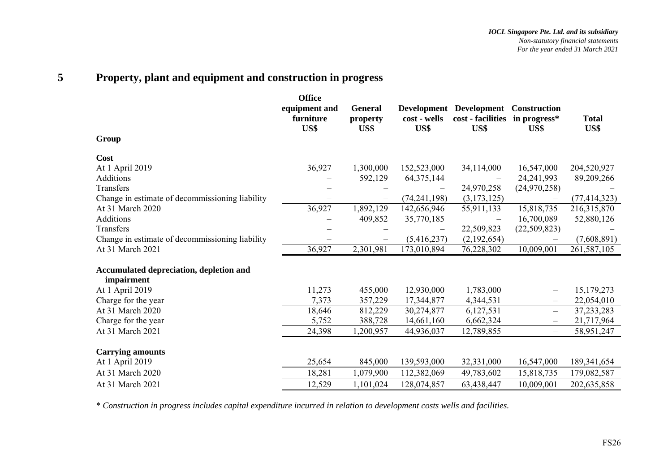#### **5Property, plant and equipment and construction in progress**

|                                                       | <b>Office</b><br>equipment and<br>furniture<br>US\$ | General<br>property<br>US\$ | cost - wells<br>US\$ | Development Development<br>cost - facilities<br>US\$ | <b>Construction</b><br>in progress*<br>US\$ | <b>Total</b><br>US\$ |
|-------------------------------------------------------|-----------------------------------------------------|-----------------------------|----------------------|------------------------------------------------------|---------------------------------------------|----------------------|
| Group                                                 |                                                     |                             |                      |                                                      |                                             |                      |
| Cost                                                  |                                                     |                             |                      |                                                      |                                             |                      |
| At 1 April 2019                                       | 36,927                                              | 1,300,000                   | 152,523,000          | 34,114,000                                           | 16,547,000                                  | 204,520,927          |
| Additions                                             |                                                     | 592,129                     | 64, 375, 144         |                                                      | 24, 241, 993                                | 89,209,266           |
| Transfers                                             |                                                     |                             |                      | 24,970,258                                           | (24,970,258)                                |                      |
| Change in estimate of decommissioning liability       |                                                     |                             | (74, 241, 198)       | (3,173,125)                                          |                                             | (77, 414, 323)       |
| At 31 March 2020                                      | 36,927                                              | 1,892,129                   | 142,656,946          | 55,911,133                                           | 15,818,735                                  | 216,315,870          |
| Additions                                             |                                                     | 409,852                     | 35,770,185           |                                                      | 16,700,089                                  | 52,880,126           |
| Transfers                                             |                                                     |                             |                      | 22,509,823                                           | (22,509,823)                                |                      |
| Change in estimate of decommissioning liability       |                                                     |                             | (5,416,237)          | (2,192,654)                                          |                                             | (7,608,891)          |
| At 31 March 2021                                      | 36,927                                              | 2,301,981                   | 173,010,894          | 76,228,302                                           | 10,009,001                                  | 261,587,105          |
|                                                       |                                                     |                             |                      |                                                      |                                             |                      |
| Accumulated depreciation, depletion and<br>impairment |                                                     |                             |                      |                                                      |                                             |                      |
| At 1 April 2019                                       | 11,273                                              | 455,000                     | 12,930,000           | 1,783,000                                            |                                             | 15,179,273           |
| Charge for the year                                   | 7,373                                               | 357,229                     | 17,344,877           | 4,344,531                                            |                                             | 22,054,010           |
| At 31 March 2020                                      | 18,646                                              | 812,229                     | 30,274,877           | 6,127,531                                            |                                             | 37, 233, 283         |
| Charge for the year                                   | 5,752                                               | 388,728                     | 14,661,160           | 6,662,324                                            | $\qquad \qquad -$                           | 21,717,964           |
| At 31 March 2021                                      | 24,398                                              | 1,200,957                   | 44,936,037           | 12,789,855                                           | $\overline{\phantom{0}}$                    | 58,951,247           |
|                                                       |                                                     |                             |                      |                                                      |                                             |                      |
| <b>Carrying amounts</b>                               |                                                     |                             |                      |                                                      |                                             |                      |
| At 1 April 2019                                       | 25,654                                              | 845,000                     | 139,593,000          | 32,331,000                                           | 16,547,000                                  | 189, 341, 654        |
| At 31 March 2020                                      | 18,281                                              | 1,079,900                   | 112,382,069          | 49,783,602                                           | 15,818,735                                  | 179,082,587          |
| At 31 March 2021                                      | 12,529                                              | 1,101,024                   | 128,074,857          | 63,438,447                                           | 10,009,001                                  | 202,635,858          |

\* *Construction in progress includes capital expenditure incurred in relation to development costs wells and facilities.*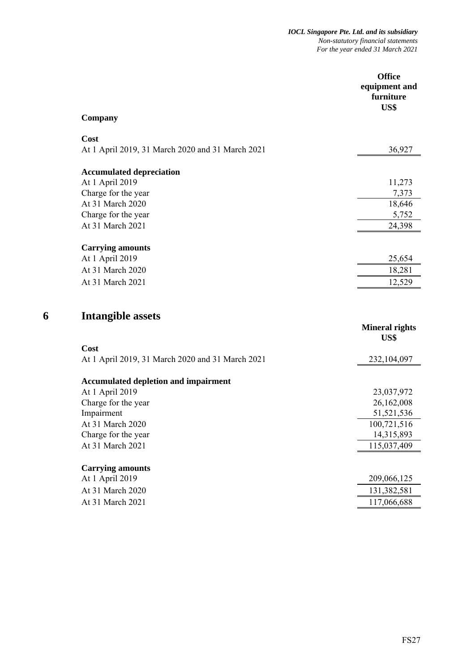|                                                  | <b>Office</b><br>equipment and<br>furniture<br>US\$ |
|--------------------------------------------------|-----------------------------------------------------|
| Company                                          |                                                     |
| Cost                                             |                                                     |
| At 1 April 2019, 31 March 2020 and 31 March 2021 | 36,927                                              |
| <b>Accumulated depreciation</b>                  |                                                     |
| At 1 April 2019                                  | 11,273                                              |
| Charge for the year                              | 7,373                                               |
| At 31 March 2020                                 | 18,646                                              |
| Charge for the year                              | 5,752                                               |
| At 31 March 2021                                 | 24,398                                              |
| <b>Carrying amounts</b>                          |                                                     |
| At 1 April 2019                                  | 25,654                                              |
| At 31 March 2020                                 | 18,281                                              |
| At 31 March 2021                                 | 12,529                                              |
| Intangible assets                                |                                                     |
|                                                  | <b>Mineral rights</b><br>US\$                       |
| Cost                                             |                                                     |
| At 1 April 2019, 31 March 2020 and 31 March 2021 | 232,104,097                                         |
| <b>Accumulated depletion and impairment</b>      |                                                     |
| At 1 April 2019                                  | 23,037,972                                          |
| Charge for the year                              | 26,162,008                                          |
| Impairment                                       | 51,521,536                                          |
| At 31 March 2020                                 | 100,721,516                                         |
| Charge for the year                              | 14,315,893                                          |
| At 31 March 2021                                 | 115,037,409                                         |
| <b>Carrying amounts</b>                          |                                                     |
| At 1 April 2019                                  | 209,066,125                                         |
| At 31 March 2020                                 | 131,382,581                                         |
| At 31 March 2021                                 | 117,066,688                                         |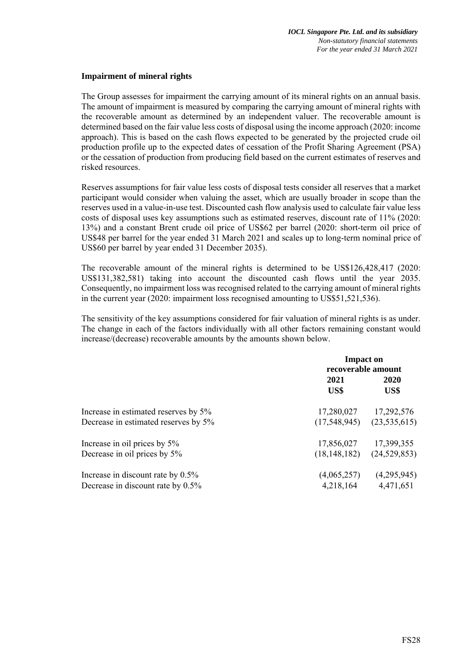#### **Impairment of mineral rights**

The Group assesses for impairment the carrying amount of its mineral rights on an annual basis. The amount of impairment is measured by comparing the carrying amount of mineral rights with the recoverable amount as determined by an independent valuer. The recoverable amount is determined based on the fair value less costs of disposal using the income approach (2020: income approach). This is based on the cash flows expected to be generated by the projected crude oil production profile up to the expected dates of cessation of the Profit Sharing Agreement (PSA) or the cessation of production from producing field based on the current estimates of reserves and risked resources.

Reserves assumptions for fair value less costs of disposal tests consider all reserves that a market participant would consider when valuing the asset, which are usually broader in scope than the reserves used in a value-in-use test. Discounted cash flow analysis used to calculate fair value less costs of disposal uses key assumptions such as estimated reserves, discount rate of 11% (2020: 13%) and a constant Brent crude oil price of US\$62 per barrel (2020: short-term oil price of US\$48 per barrel for the year ended 31 March 2021 and scales up to long-term nominal price of US\$60 per barrel by year ended 31 December 2035).

The recoverable amount of the mineral rights is determined to be US\$126,428,417 (2020: US\$131,382,581) taking into account the discounted cash flows until the year 2035. Consequently, no impairment loss was recognised related to the carrying amount of mineral rights in the current year (2020: impairment loss recognised amounting to US\$51,521,536).

The sensitivity of the key assumptions considered for fair valuation of mineral rights is as under. The change in each of the factors individually with all other factors remaining constant would increase/(decrease) recoverable amounts by the amounts shown below.

|                                      | <b>Impact on</b><br>recoverable amount |                |  |
|--------------------------------------|----------------------------------------|----------------|--|
|                                      | 2021                                   | 2020           |  |
|                                      | US\$                                   | US\$           |  |
| Increase in estimated reserves by 5% | 17,280,027                             | 17,292,576     |  |
| Decrease in estimated reserves by 5% | (17,548,945)                           | (23, 535, 615) |  |
| Increase in oil prices by 5%         | 17,856,027                             | 17,399,355     |  |
| Decrease in oil prices by 5%         | (18, 148, 182)                         | (24, 529, 853) |  |
| Increase in discount rate by $0.5\%$ | (4,065,257)                            | (4,295,945)    |  |
| Decrease in discount rate by $0.5\%$ | 4,218,164                              | 4,471,651      |  |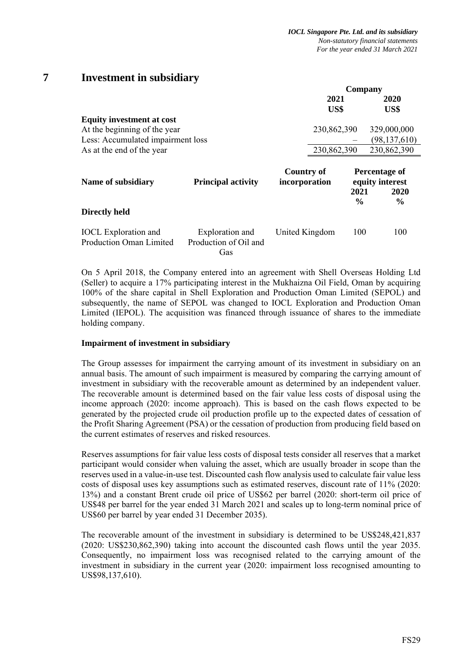### **7 Investment in subsidiary**

|                           |                                   | Company       |                                            |
|---------------------------|-----------------------------------|---------------|--------------------------------------------|
|                           |                                   |               | 2020                                       |
|                           |                                   |               | US\$                                       |
|                           |                                   |               |                                            |
|                           |                                   |               | 329,000,000                                |
|                           |                                   |               | (98, 137, 610)                             |
|                           |                                   |               | 230,862,390                                |
|                           |                                   |               |                                            |
|                           | <b>Country of</b>                 |               | Percentage of                              |
| <b>Principal activity</b> | incorporation                     |               | equity interest                            |
|                           |                                   | 2021          | 2020                                       |
|                           |                                   | $\frac{0}{0}$ | $\frac{6}{9}$                              |
|                           |                                   |               |                                            |
|                           |                                   |               |                                            |
|                           | Less: Accumulated impairment loss |               | 2021<br>US\$<br>230,862,390<br>230,862,390 |

| <b>IOCL</b> Exploration and                   | Exploration and | United Kingdom | 100 | 100- |
|-----------------------------------------------|-----------------|----------------|-----|------|
| Production Oman Limited Production of Oil and |                 |                |     |      |
|                                               | Gàs C           |                |     |      |

On 5 April 2018, the Company entered into an agreement with Shell Overseas Holding Ltd (Seller) to acquire a 17% participating interest in the Mukhaizna Oil Field, Oman by acquiring 100% of the share capital in Shell Exploration and Production Oman Limited (SEPOL) and subsequently, the name of SEPOL was changed to IOCL Exploration and Production Oman Limited (IEPOL). The acquisition was financed through issuance of shares to the immediate holding company.

#### **Impairment of investment in subsidiary**

The Group assesses for impairment the carrying amount of its investment in subsidiary on an annual basis. The amount of such impairment is measured by comparing the carrying amount of investment in subsidiary with the recoverable amount as determined by an independent valuer. The recoverable amount is determined based on the fair value less costs of disposal using the income approach (2020: income approach). This is based on the cash flows expected to be generated by the projected crude oil production profile up to the expected dates of cessation of the Profit Sharing Agreement (PSA) or the cessation of production from producing field based on the current estimates of reserves and risked resources.

Reserves assumptions for fair value less costs of disposal tests consider all reserves that a market participant would consider when valuing the asset, which are usually broader in scope than the reserves used in a value-in-use test. Discounted cash flow analysis used to calculate fair value less costs of disposal uses key assumptions such as estimated reserves, discount rate of 11% (2020: 13%) and a constant Brent crude oil price of US\$62 per barrel (2020: short-term oil price of US\$48 per barrel for the year ended 31 March 2021 and scales up to long-term nominal price of US\$60 per barrel by year ended 31 December 2035).

The recoverable amount of the investment in subsidiary is determined to be US\$248,421,837 (2020: US\$230,862,390) taking into account the discounted cash flows until the year 2035. Consequently, no impairment loss was recognised related to the carrying amount of the investment in subsidiary in the current year (2020: impairment loss recognised amounting to US\$98,137,610).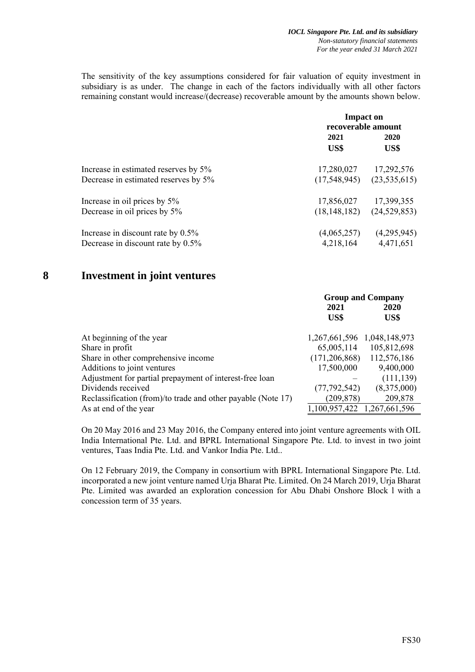The sensitivity of the key assumptions considered for fair valuation of equity investment in subsidiary is as under. The change in each of the factors individually with all other factors remaining constant would increase/(decrease) recoverable amount by the amounts shown below.

|                                      | <b>Impact on</b><br>recoverable amount |                |  |
|--------------------------------------|----------------------------------------|----------------|--|
|                                      | 2021                                   | 2020           |  |
|                                      | US\$                                   | US\$           |  |
| Increase in estimated reserves by 5% | 17,280,027                             | 17,292,576     |  |
| Decrease in estimated reserves by 5% | (17,548,945)                           | (23, 535, 615) |  |
| Increase in oil prices by 5%         | 17,856,027                             | 17,399,355     |  |
| Decrease in oil prices by 5%         | (18, 148, 182)                         | (24,529,853)   |  |
| Increase in discount rate by $0.5\%$ | (4,065,257)                            | (4,295,945)    |  |
| Decrease in discount rate by 0.5%    | 4,218,164                              | 4,471,651      |  |

### **8 Investment in joint ventures**

|                                                              | <b>Group and Company</b>    |             |  |
|--------------------------------------------------------------|-----------------------------|-------------|--|
|                                                              | 2021                        | 2020        |  |
|                                                              | US\$                        | US\$        |  |
| At beginning of the year                                     | 1,267,661,596 1,048,148,973 |             |  |
| Share in profit                                              | 65,005,114                  | 105,812,698 |  |
| Share in other comprehensive income                          | (171, 206, 868)             | 112,576,186 |  |
| Additions to joint ventures                                  | 17,500,000                  | 9,400,000   |  |
| Adjustment for partial prepayment of interest-free loan      |                             | (111, 139)  |  |
| Dividends received                                           | (77, 792, 542)              | (8,375,000) |  |
| Reclassification (from)/to trade and other payable (Note 17) | (209, 878)                  | 209,878     |  |
| As at end of the year                                        | 1,100,957,422 1,267,661,596 |             |  |

On 20 May 2016 and 23 May 2016, the Company entered into joint venture agreements with OIL India International Pte. Ltd. and BPRL International Singapore Pte. Ltd. to invest in two joint ventures, Taas India Pte. Ltd. and Vankor India Pte. Ltd..

On 12 February 2019, the Company in consortium with BPRL International Singapore Pte. Ltd. incorporated a new joint venture named Urja Bharat Pte. Limited. On 24 March 2019, Urja Bharat Pte. Limited was awarded an exploration concession for Abu Dhabi Onshore Block l with a concession term of 35 years.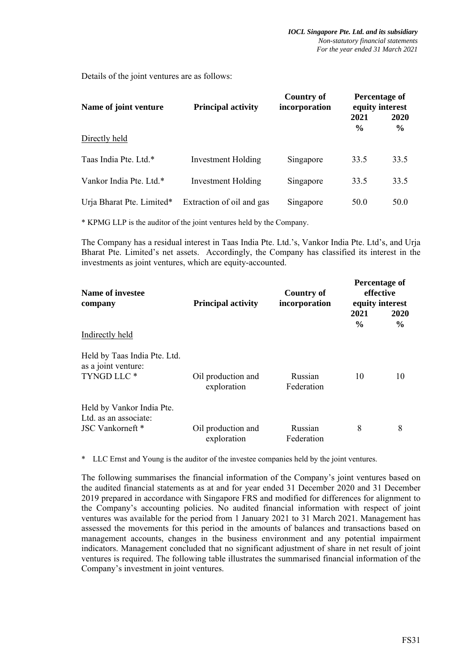Details of the joint ventures are as follows:

| Name of joint venture     | <b>Principal activity</b> | <b>Country of</b><br>incorporation | Percentage of<br>equity interest |                       |  |
|---------------------------|---------------------------|------------------------------------|----------------------------------|-----------------------|--|
|                           |                           |                                    | 2021<br>$\frac{6}{10}$           | 2020<br>$\frac{6}{9}$ |  |
| Directly held             |                           |                                    |                                  |                       |  |
| Taas India Pte. Ltd.*     | Investment Holding        | Singapore                          | 33.5                             | 33.5                  |  |
| Vankor India Pte. Ltd.*   | <b>Investment Holding</b> | Singapore                          | 33.5                             | 33.5                  |  |
| Urja Bharat Pte. Limited* | Extraction of oil and gas | Singapore                          | 50.0                             | 50.0                  |  |

\* KPMG LLP is the auditor of the joint ventures held by the Company.

The Company has a residual interest in Taas India Pte. Ltd.'s, Vankor India Pte. Ltd's, and Urja Bharat Pte. Limited's net assets. Accordingly, the Company has classified its interest in the investments as joint ventures, which are equity-accounted.

| Name of investee<br>company                                                   | <b>Principal activity</b>         | <b>Country of</b><br>incorporation | Percentage of<br>effective<br>equity interest |               |
|-------------------------------------------------------------------------------|-----------------------------------|------------------------------------|-----------------------------------------------|---------------|
|                                                                               |                                   |                                    | 2021                                          | 2020          |
| Indirectly held                                                               |                                   |                                    | $\frac{0}{0}$                                 | $\frac{0}{0}$ |
| Held by Taas India Pte. Ltd.<br>as a joint venture:<br>TYNGD LLC <sup>*</sup> | Oil production and                | Russian                            | 10                                            | 10            |
|                                                                               | exploration                       | Federation                         |                                               |               |
| Held by Vankor India Pte.<br>Ltd. as an associate:                            |                                   |                                    |                                               |               |
| JSC Vankorneft *                                                              | Oil production and<br>exploration | Russian<br>Federation              | 8                                             | 8             |

\* LLC Ernst and Young is the auditor of the investee companies held by the joint ventures.

The following summarises the financial information of the Company's joint ventures based on the audited financial statements as at and for year ended 31 December 2020 and 31 December 2019 prepared in accordance with Singapore FRS and modified for differences for alignment to the Company's accounting policies. No audited financial information with respect of joint ventures was available for the period from 1 January 2021 to 31 March 2021. Management has assessed the movements for this period in the amounts of balances and transactions based on management accounts, changes in the business environment and any potential impairment indicators. Management concluded that no significant adjustment of share in net result of joint ventures is required. The following table illustrates the summarised financial information of the Company's investment in joint ventures.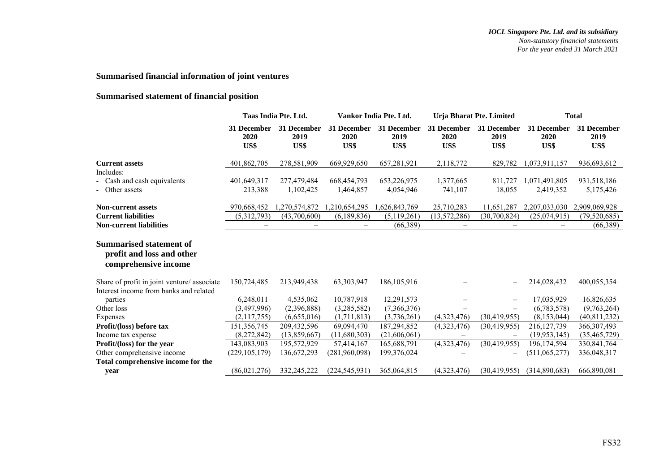#### **Summarised financial information of joint ventures**

### **Summarised statement of financial position**

|                                                                                       | Taas India Pte. Ltd.<br>Vankor India Pte. Ltd. |                             |                             |                             | Urja Bharat Pte. Limited     | <b>Total</b>                |                             |                             |
|---------------------------------------------------------------------------------------|------------------------------------------------|-----------------------------|-----------------------------|-----------------------------|------------------------------|-----------------------------|-----------------------------|-----------------------------|
|                                                                                       | 31 December<br>2020<br>US\$                    | 31 December<br>2019<br>US\$ | 31 December<br>2020<br>US\$ | 31 December<br>2019<br>US\$ | 31 December<br>2020<br>US\$  | 31 December<br>2019<br>US\$ | 31 December<br>2020<br>US\$ | 31 December<br>2019<br>US\$ |
| <b>Current assets</b>                                                                 | 401,862,705                                    | 278,581,909                 | 669,929,650                 | 657,281,921                 | 2,118,772                    | 829,782                     | 1,073,911,157               | 936,693,612                 |
| Includes:                                                                             |                                                |                             |                             |                             |                              |                             |                             |                             |
| - Cash and cash equivalents                                                           | 401,649,317                                    | 277,479,484                 | 668, 454, 793               | 653,226,975                 | 1,377,665                    | 811,727                     | 1,071,491,805               | 931,518,186                 |
| - Other assets                                                                        | 213,388                                        | 1,102,425                   | 1,464,857                   | 4,054,946                   | 741,107                      | 18,055                      | 2,419,352                   | 5,175,426                   |
| <b>Non-current assets</b>                                                             | 970,668,452                                    | 1,270,574,872               | 1,210,654,295               | 1,626,843,769               | 25,710,283                   | 11,651,287                  | 2, 207, 033, 030            | 2,909,069,928               |
| <b>Current liabilities</b>                                                            | (5,312,793)                                    | (43,700,600)                | (6,189,836)                 | (5,119,261)                 | (13,572,286)                 | (30,700,824)                | (25,074,915)                | (79, 520, 685)              |
| <b>Non-current liabilities</b>                                                        | $\overline{\phantom{0}}$                       | $\qquad \qquad -$           |                             | (66, 389)                   | $\overbrace{\qquad \qquad }$ | $\overline{\phantom{0}}$    | $\overline{\phantom{0}}$    | (66,389)                    |
| <b>Summarised statement of</b><br>profit and loss and other<br>comprehensive income   |                                                |                             |                             |                             |                              |                             |                             |                             |
| Share of profit in joint venture/ associate<br>Interest income from banks and related | 150,724,485                                    | 213,949,438                 | 63,303,947                  | 186, 105, 916               |                              |                             | 214,028,432                 | 400,055,354                 |
| parties                                                                               | 6,248,011                                      | 4,535,062                   | 10,787,918                  | 12,291,573                  |                              |                             | 17,035,929                  | 16,826,635                  |
| Other loss                                                                            | (3,497,996)                                    | (2,396,888)                 | (3,285,582)                 | (7,366,376)                 |                              |                             | (6,783,578)                 | (9,763,264)                 |
| Expenses                                                                              | (2,117,755)                                    | (6,655,016)                 | (1,711,813)                 | (3,736,261)                 | (4,323,476)                  | (30, 419, 955)              | (8,153,044)                 | (40,811,232)                |
| Profit/(loss) before tax                                                              | 151,356,745                                    | 209,432,596                 | 69,094,470                  | 187,294,852                 | (4,323,476)                  | (30, 419, 955)              | 216, 127, 739               | 366, 307, 493               |
| Income tax expense                                                                    | (8,272,842)                                    | (13,859,667)                | (11,680,303)                | (21,606,061)                |                              |                             | (19,953,145)                | (35, 465, 729)              |
| Profit/(loss) for the year                                                            | 143,083,903                                    | 195,572,929                 | 57,414,167                  | 165,688,791                 | (4,323,476)                  | (30, 419, 955)              | 196,174,594                 | 330, 841, 764               |
| Other comprehensive income                                                            | (229, 105, 179)                                | 136, 672, 293               | (281,960,098)               | 199,376,024                 |                              |                             | (511,065,277)               | 336,048,317                 |
| Total comprehensive income for the                                                    |                                                |                             |                             |                             |                              |                             |                             |                             |
| year                                                                                  | (86,021,276)                                   | 332, 245, 222               | (224, 545, 931)             | 365,064,815                 | (4,323,476)                  | (30, 419, 955)              | (314,890,683)               | 666,890,081                 |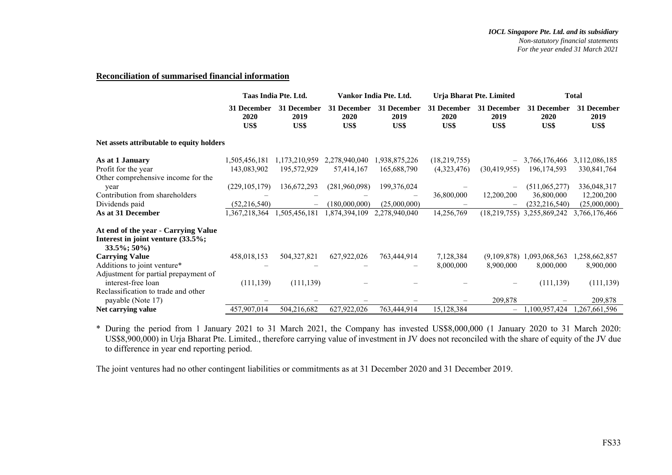#### **Reconciliation of summarised financial information**

|                                                                          | Taas India Pte. Ltd.        |                             | Vankor India Pte. Ltd.      |                             | Urja Bharat Pte. Limited    |                             | <b>Total</b>                |                             |
|--------------------------------------------------------------------------|-----------------------------|-----------------------------|-----------------------------|-----------------------------|-----------------------------|-----------------------------|-----------------------------|-----------------------------|
|                                                                          | 31 December<br>2020<br>US\$ | 31 December<br>2019<br>US\$ | 31 December<br>2020<br>US\$ | 31 December<br>2019<br>US\$ | 31 December<br>2020<br>US\$ | 31 December<br>2019<br>US\$ | 31 December<br>2020<br>US\$ | 31 December<br>2019<br>US\$ |
| Net assets attributable to equity holders                                |                             |                             |                             |                             |                             |                             |                             |                             |
| As at 1 January                                                          | 1,505,456,181               | 1,173,210,959               | 2,278,940,040               | 1,938,875,226               | (18, 219, 755)              |                             | 3,766,176,466               | 3,112,086,185               |
| Profit for the year                                                      | 143,083,902                 | 195,572,929                 | 57,414,167                  | 165,688,790                 | (4,323,476)                 | (30, 419, 955)              | 196, 174, 593               | 330, 841, 764               |
| Other comprehensive income for the                                       |                             |                             |                             |                             |                             |                             |                             |                             |
| year                                                                     | (229, 105, 179)             | 136,672,293                 | (281,960,098)               | 199,376,024                 |                             |                             | (511,065,277)               | 336,048,317                 |
| Contribution from shareholders                                           |                             |                             |                             |                             | 36,800,000                  | 12,200,200                  | 36,800,000                  | 12,200,200                  |
| Dividends paid                                                           | (52, 216, 540)              |                             | (180,000,000)               | (25,000,000)                |                             |                             | (232, 216, 540)             | (25,000,000)                |
| As at 31 December                                                        | 1,367,218,364               | 1,505,456,181               | 1,874,394,109               | 2,278,940,040               | 14,256,769                  | (18, 219, 755)              | 3,255,869,242               | 3,766,176,466               |
| At end of the year - Carrying Value<br>Interest in joint venture (33.5%; |                             |                             |                             |                             |                             |                             |                             |                             |
| $33.5\%$ ; 50%)                                                          |                             |                             |                             |                             |                             |                             |                             |                             |
| <b>Carrying Value</b>                                                    | 458,018,153                 | 504, 327, 821               | 627,922,026                 | 763,444,914                 | 7,128,384                   | (9,109,878)                 | 1,093,068,563               | 1,258,662,857               |
| Additions to joint venture*                                              |                             |                             |                             |                             | 8,000,000                   | 8,900,000                   | 8,000,000                   | 8,900,000                   |
| Adjustment for partial prepayment of                                     |                             |                             |                             |                             |                             |                             |                             |                             |
| interest-free loan                                                       | (111, 139)                  | (111, 139)                  |                             |                             |                             |                             | (111, 139)                  | (111, 139)                  |
| Reclassification to trade and other                                      |                             |                             |                             |                             |                             |                             |                             |                             |
| payable (Note 17)                                                        |                             |                             |                             |                             |                             | 209,878                     |                             | 209,878                     |
| Net carrying value                                                       | 457,907,014                 | 504,216,682                 | 627,922,026                 | 763,444,914                 | 15,128,384                  | $\overline{\phantom{0}}$    | 1,100,957,424               | 1,267,661,596               |

\* During the period from 1 January 2021 to 31 March 2021, the Company has invested US\$8,000,000 (1 January 2020 to 31 March 2020: US\$8,900,000) in Urja Bharat Pte. Limited., therefore carrying value of investment in JV does not reconciled with the share of equity of the JV due to difference in year end reporting period.

The joint ventures had no other contingent liabilities or commitments as at 31 December 2020 and 31 December 2019.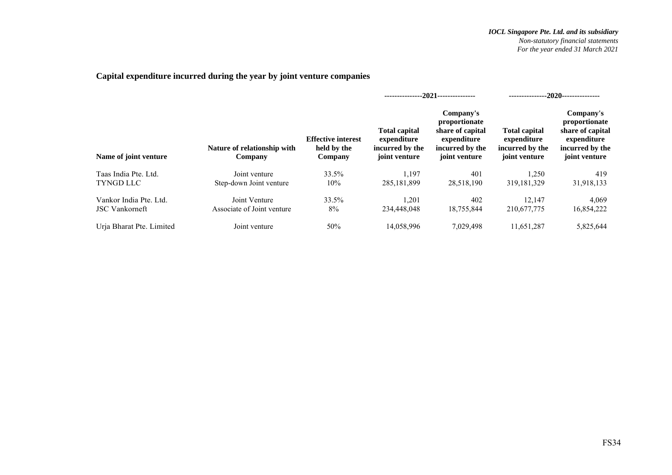#### *IOCL Singapore Pte. Ltd. and its subsidiary Non-statutory financial statements For the year ended 31 March 2021*

### **Capital expenditure incurred during the year by joint venture companies**

|                          |                                        |                                                     |                                                                         | ---2021----------------                                                                           | --2020----------------                                                  |                                                                                                   |
|--------------------------|----------------------------------------|-----------------------------------------------------|-------------------------------------------------------------------------|---------------------------------------------------------------------------------------------------|-------------------------------------------------------------------------|---------------------------------------------------------------------------------------------------|
| Name of joint venture    | Nature of relationship with<br>Company | <b>Effective interest</b><br>held by the<br>Company | <b>Total capital</b><br>expenditure<br>incurred by the<br>joint venture | Company's<br>proportionate<br>share of capital<br>expenditure<br>incurred by the<br>joint venture | <b>Total capital</b><br>expenditure<br>incurred by the<br>joint venture | Company's<br>proportionate<br>share of capital<br>expenditure<br>incurred by the<br>joint venture |
| Taas India Pte. Ltd.     | Joint venture                          | 33.5%                                               | 1.197                                                                   | 401                                                                                               | 1,250                                                                   | 419                                                                                               |
| <b>TYNGD LLC</b>         | Step-down Joint venture                | $10\%$                                              | 285, 181, 899                                                           | 28,518,190                                                                                        | 319, 181, 329                                                           | 31,918,133                                                                                        |
| Vankor India Pte. Ltd.   | Joint Venture                          | 33.5%                                               | 1.201                                                                   | 402                                                                                               | 12.147                                                                  | 4,069                                                                                             |
| <b>JSC</b> Vankorneft    | Associate of Joint venture             | 8%                                                  | 234,448,048                                                             | 18,755,844                                                                                        | 210,677,775                                                             | 16,854,222                                                                                        |
| Urja Bharat Pte. Limited | Joint venture                          | 50%                                                 | 14.058.996                                                              | 7.029.498                                                                                         | 11,651,287                                                              | 5,825,644                                                                                         |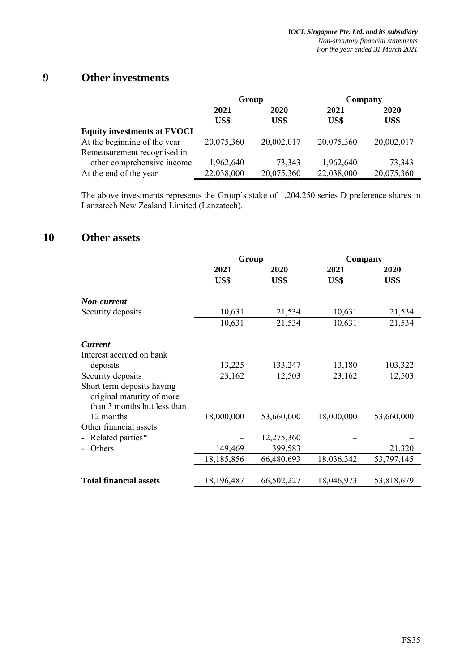## **9 Other investments**

|                                    | Group        |              | Company      |              |  |
|------------------------------------|--------------|--------------|--------------|--------------|--|
|                                    | 2021<br>US\$ | 2020<br>US\$ | 2021<br>US\$ | 2020<br>US\$ |  |
| <b>Equity investments at FVOCI</b> |              |              |              |              |  |
| At the beginning of the year       | 20,075,360   | 20,002,017   | 20,075,360   | 20,002,017   |  |
| Remeasurement recognised in        |              |              |              |              |  |
| other comprehensive income         | 1,962,640    | 73,343       | 1,962,640    | 73,343       |  |
| At the end of the year             | 22,038,000   | 20,075,360   | 22,038,000   | 20,075,360   |  |

The above investments represents the Group's stake of 1,204,250 series D preference shares in Lanzatech New Zealand Limited (Lanzatech).

## **10 Other assets**

|                                                                                        | Group      |            | Company    |            |
|----------------------------------------------------------------------------------------|------------|------------|------------|------------|
|                                                                                        | 2021       | 2020       | 2021       | 2020       |
|                                                                                        | US\$       | US\$       | US\$       | US\$       |
| Non-current                                                                            |            |            |            |            |
| Security deposits                                                                      | 10,631     | 21,534     | 10,631     | 21,534     |
|                                                                                        | 10,631     | 21,534     | 10,631     | 21,534     |
| <b>Current</b>                                                                         |            |            |            |            |
| Interest accrued on bank                                                               |            |            |            |            |
| deposits                                                                               | 13,225     | 133,247    | 13,180     | 103,322    |
| Security deposits                                                                      | 23,162     | 12,503     | 23,162     | 12,503     |
| Short term deposits having<br>original maturity of more<br>than 3 months but less than |            |            |            |            |
| 12 months                                                                              | 18,000,000 | 53,660,000 | 18,000,000 | 53,660,000 |
| Other financial assets                                                                 |            |            |            |            |
| Related parties*                                                                       |            | 12,275,360 |            |            |
| Others                                                                                 | 149,469    | 399,583    |            | 21,320     |
|                                                                                        | 18,185,856 | 66,480,693 | 18,036,342 | 53,797,145 |
| <b>Total financial assets</b>                                                          | 18,196,487 | 66,502,227 | 18,046,973 | 53,818,679 |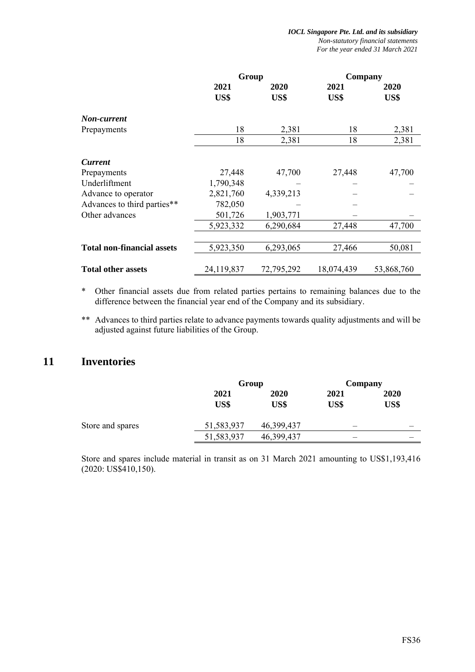|                                   | Group      |            | Company    |            |
|-----------------------------------|------------|------------|------------|------------|
|                                   | 2021       | 2020       | 2021       | 2020       |
|                                   | US\$       | US\$       | US\$       | US\$       |
| Non-current                       |            |            |            |            |
| Prepayments                       | 18         | 2,381      | 18         | 2,381      |
|                                   | 18         | 2,381      | 18         | 2,381      |
| <b>Current</b>                    |            |            |            |            |
| Prepayments                       | 27,448     | 47,700     | 27,448     | 47,700     |
| Underliftment                     | 1,790,348  |            |            |            |
| Advance to operator               | 2,821,760  | 4,339,213  |            |            |
| Advances to third parties**       | 782,050    |            |            |            |
| Other advances                    | 501,726    | 1,903,771  |            |            |
|                                   | 5,923,332  | 6,290,684  | 27,448     | 47,700     |
|                                   |            |            |            |            |
| <b>Total non-financial assets</b> | 5,923,350  | 6,293,065  | 27,466     | 50,081     |
| <b>Total other assets</b>         | 24,119,837 | 72,795,292 | 18,074,439 | 53,868,760 |

\* Other financial assets due from related parties pertains to remaining balances due to the difference between the financial year end of the Company and its subsidiary.

\*\* Advances to third parties relate to advance payments towards quality adjustments and will be adjusted against future liabilities of the Group.

### **11 Inventories**

|                  |              | Group        |              | Company      |
|------------------|--------------|--------------|--------------|--------------|
|                  | 2021<br>US\$ | 2020<br>US\$ | 2021<br>US\$ | 2020<br>US\$ |
| Store and spares | 51,583,937   | 46,399,437   |              |              |
|                  | 51,583,937   | 46,399,437   | _            | _            |

Store and spares include material in transit as on 31 March 2021 amounting to US\$1,193,416 (2020: US\$410,150).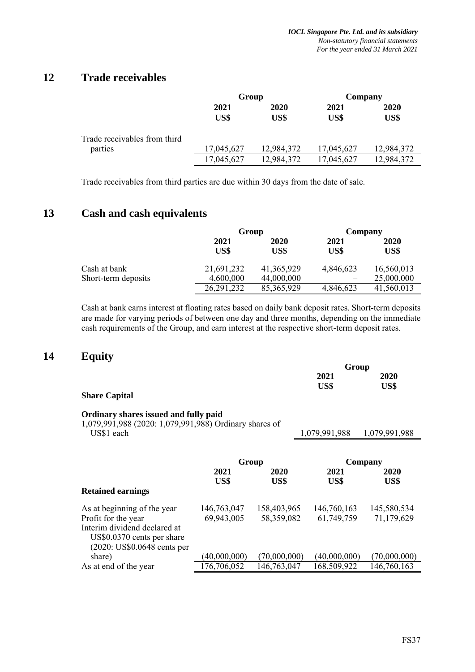## **12 Trade receivables**

|                              | Group        |              | Company      |              |  |
|------------------------------|--------------|--------------|--------------|--------------|--|
|                              | 2021<br>US\$ | 2020<br>US\$ | 2021<br>US\$ | 2020<br>US\$ |  |
| Trade receivables from third |              |              |              |              |  |
| parties                      | 17,045,627   | 12,984,372   | 17,045,627   | 12,984,372   |  |
|                              | 17,045,627   | 12,984,372   | 17,045,627   | 12,984,372   |  |

Trade receivables from third parties are due within 30 days from the date of sale.

## **13 Cash and cash equivalents**

|                     |              | Group        |              | Company      |
|---------------------|--------------|--------------|--------------|--------------|
|                     | 2021<br>US\$ | 2020<br>US\$ | 2021<br>US\$ | 2020<br>US\$ |
| Cash at bank        | 21,691,232   | 41,365,929   | 4,846,623    | 16,560,013   |
| Short-term deposits | 4,600,000    | 44,000,000   |              | 25,000,000   |
|                     | 26, 291, 232 | 85, 365, 929 | 4,846,623    | 41,560,013   |

Cash at bank earns interest at floating rates based on daily bank deposit rates. Short-term deposits are made for varying periods of between one day and three months, depending on the immediate cash requirements of the Group, and earn interest at the respective short-term deposit rates.

## **14 Equity**

|                                                        |              |              | Group         |               |  |
|--------------------------------------------------------|--------------|--------------|---------------|---------------|--|
|                                                        |              |              | 2021          | 2020          |  |
|                                                        |              |              | US\$          | US\$          |  |
| <b>Share Capital</b>                                   |              |              |               |               |  |
| Ordinary shares issued and fully paid                  |              |              |               |               |  |
| 1,079,991,988 (2020: 1,079,991,988) Ordinary shares of |              |              |               |               |  |
| US\$1 each                                             |              |              | 1,079,991,988 | 1,079,991,988 |  |
|                                                        |              |              |               |               |  |
|                                                        |              |              |               |               |  |
|                                                        | Group        |              | Company       |               |  |
|                                                        | 2021         | 2020         | 2021          | 2020          |  |
|                                                        | US\$         | US\$         | US\$          | US\$          |  |
| <b>Retained earnings</b>                               |              |              |               |               |  |
| As at beginning of the year                            | 146,763,047  | 158,403,965  | 146,760,163   | 145,580,534   |  |
| Profit for the year                                    | 69,943,005   | 58,359,082   | 61,749,759    | 71,179,629    |  |
| Interim dividend declared at                           |              |              |               |               |  |
| US\$0.0370 cents per share                             |              |              |               |               |  |
| (2020: US\$0.0648 cents per                            |              |              |               |               |  |
| share)                                                 | (40,000,000) | (70,000,000) | (40,000,000)  | (70,000,000)  |  |
| As at end of the year                                  | 176,706,052  | 146,763,047  | 168,509,922   | 146,760,163   |  |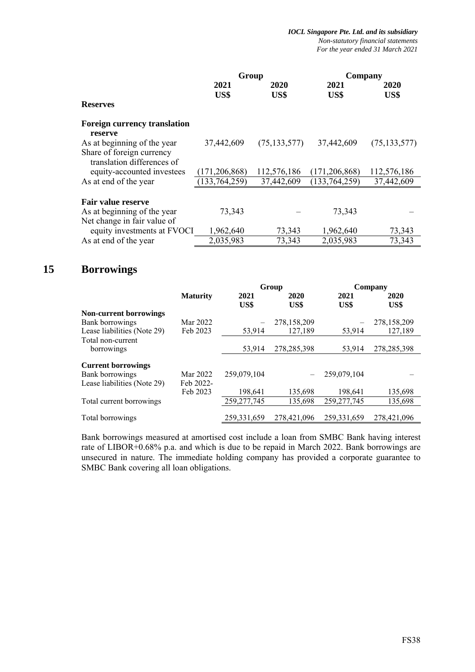|                                     | Group           |                | Company         |                |
|-------------------------------------|-----------------|----------------|-----------------|----------------|
|                                     | 2021            | 2020           | 2021            | 2020           |
|                                     | US\$            | US\$           | US\$            | US\$           |
| <b>Reserves</b>                     |                 |                |                 |                |
| <b>Foreign currency translation</b> |                 |                |                 |                |
| reserve                             |                 |                |                 |                |
| As at beginning of the year         | 37,442,609      | (75, 133, 577) | 37,442,609      | (75, 133, 577) |
| Share of foreign currency           |                 |                |                 |                |
| translation differences of          |                 |                |                 |                |
| equity-accounted investees          | (171, 206, 868) | 112,576,186    | (171, 206, 868) | 112,576,186    |
| As at end of the year               | (133, 764, 259) | 37,442,609     | (133, 764, 259) | 37,442,609     |
|                                     |                 |                |                 |                |
| <b>Fair value reserve</b>           |                 |                |                 |                |
| As at beginning of the year         | 73,343          |                | 73,343          |                |
| Net change in fair value of         |                 |                |                 |                |
| equity investments at FVOCI         | 1,962,640       | 73,343         | 1,962,640       | 73,343         |
| As at end of the year               | 2,035,983       | 73,343         | 2,035,983       | 73,343         |

## **15 Borrowings**

|                               |                 |               | Group       |               | Company     |
|-------------------------------|-----------------|---------------|-------------|---------------|-------------|
|                               | <b>Maturity</b> | 2021          | 2020        | 2021          | 2020        |
|                               |                 | US\$          | US\$        | US\$          | US\$        |
| <b>Non-current borrowings</b> |                 |               |             |               |             |
| Bank borrowings               | Mar 2022        |               | 278,158,209 |               | 278,158,209 |
| Lease liabilities (Note 29)   | Feb 2023        | 53.914        | 127.189     | 53.914        | 127,189     |
| Total non-current             |                 |               |             |               |             |
| borrowings                    |                 | 53.914        | 278,285,398 | 53.914        | 278,285,398 |
|                               |                 |               |             |               |             |
| <b>Current borrowings</b>     |                 |               |             |               |             |
| Bank borrowings               | Mar 2022        | 259,079,104   |             | 259,079,104   |             |
| Lease liabilities (Note 29)   | Feb 2022-       |               |             |               |             |
|                               | Feb 2023        | 198.641       | 135,698     | 198.641       | 135,698     |
| Total current borrowings      |                 | 259, 277, 745 | 135.698     | 259, 277, 745 | 135,698     |
|                               |                 |               |             |               |             |
| Total borrowings              |                 | 259, 331, 659 | 278,421,096 | 259, 331, 659 | 278,421,096 |

Bank borrowings measured at amortised cost include a loan from SMBC Bank having interest rate of LIBOR+0.68% p.a. and which is due to be repaid in March 2022. Bank borrowings are unsecured in nature. The immediate holding company has provided a corporate guarantee to SMBC Bank covering all loan obligations.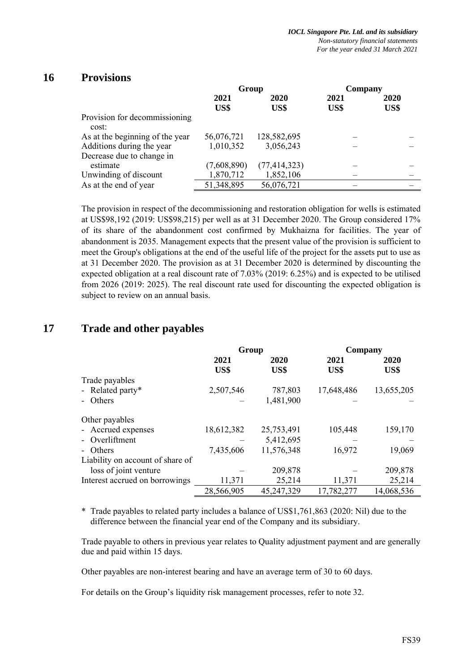## **16 Provisions**

|                                        |             | Group          |      | Company |
|----------------------------------------|-------------|----------------|------|---------|
|                                        | 2021        | 2020           | 2021 | 2020    |
|                                        | US\$        | US\$           | US\$ | US\$    |
| Provision for decommissioning<br>cost: |             |                |      |         |
| As at the beginning of the year        | 56,076,721  | 128,582,695    |      |         |
| Additions during the year              | 1,010,352   | 3,056,243      |      |         |
| Decrease due to change in              |             |                |      |         |
| estimate                               | (7,608,890) | (77, 414, 323) |      |         |
| Unwinding of discount                  | 1,870,712   | 1,852,106      |      |         |
| As at the end of year                  | 51,348,895  | 56,076,721     |      |         |

The provision in respect of the decommissioning and restoration obligation for wells is estimated at US\$98,192 (2019: US\$98,215) per well as at 31 December 2020. The Group considered 17% of its share of the abandonment cost confirmed by Mukhaizna for facilities. The year of abandonment is 2035. Management expects that the present value of the provision is sufficient to meet the Group's obligations at the end of the useful life of the project for the assets put to use as at 31 December 2020. The provision as at 31 December 2020 is determined by discounting the expected obligation at a real discount rate of 7.03% (2019: 6.25%) and is expected to be utilised from 2026 (2019: 2025). The real discount rate used for discounting the expected obligation is subject to review on an annual basis.

## **17 Trade and other payables**

|                                  | Group      |            | Company    |            |
|----------------------------------|------------|------------|------------|------------|
|                                  | 2021       | 2020       | 2021       | 2020       |
|                                  | US\$       | US\$       | US\$       | US\$       |
| Trade payables                   |            |            |            |            |
| - Related party*                 | 2,507,546  | 787,803    | 17,648,486 | 13,655,205 |
| - Others                         |            | 1,481,900  |            |            |
| Other payables                   |            |            |            |            |
| - Accrued expenses               | 18,612,382 | 25,753,491 | 105,448    | 159,170    |
| - Overliftment                   |            | 5,412,695  |            |            |
| - Others                         | 7,435,606  | 11,576,348 | 16,972     | 19,069     |
| Liability on account of share of |            |            |            |            |
| loss of joint venture            |            | 209,878    |            | 209,878    |
| Interest accrued on borrowings   | 11,371     | 25,214     | 11,371     | 25,214     |
|                                  | 28,566,905 | 45,247,329 | 17,782,277 | 14,068,536 |

\* Trade payables to related party includes a balance of US\$1,761,863 (2020: Nil) due to the difference between the financial year end of the Company and its subsidiary.

Trade payable to others in previous year relates to Quality adjustment payment and are generally due and paid within 15 days.

Other payables are non-interest bearing and have an average term of 30 to 60 days.

For details on the Group's liquidity risk management processes, refer to note 32.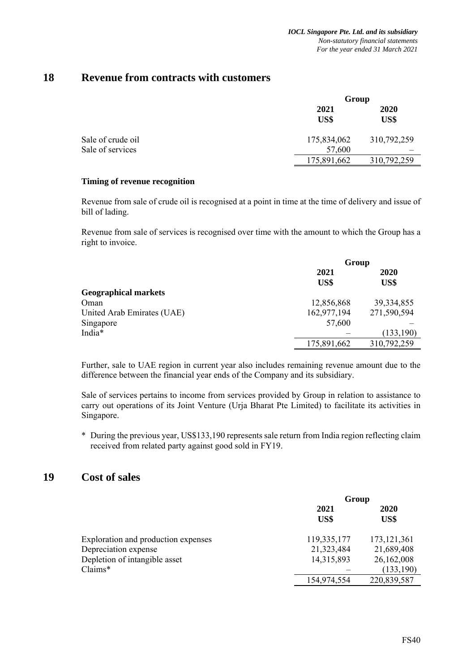## **18 Revenue from contracts with customers**

|                   | Group        |              |  |
|-------------------|--------------|--------------|--|
|                   | 2021<br>US\$ | 2020<br>US\$ |  |
| Sale of crude oil | 175,834,062  | 310,792,259  |  |
| Sale of services  | 57,600       |              |  |
|                   | 175,891,662  | 310,792,259  |  |

#### **Timing of revenue recognition**

Revenue from sale of crude oil is recognised at a point in time at the time of delivery and issue of bill of lading.

Revenue from sale of services is recognised over time with the amount to which the Group has a right to invoice.

|                             | Group       |              |  |
|-----------------------------|-------------|--------------|--|
|                             | 2021        | 2020         |  |
|                             | US\$        | US\$         |  |
| <b>Geographical markets</b> |             |              |  |
| Oman                        | 12,856,868  | 39, 334, 855 |  |
| United Arab Emirates (UAE)  | 162,977,194 | 271,590,594  |  |
| Singapore                   | 57,600      |              |  |
| India*                      |             | (133, 190)   |  |
|                             | 175,891,662 | 310,792,259  |  |

Further, sale to UAE region in current year also includes remaining revenue amount due to the difference between the financial year ends of the Company and its subsidiary.

Sale of services pertains to income from services provided by Group in relation to assistance to carry out operations of its Joint Venture (Urja Bharat Pte Limited) to facilitate its activities in Singapore.

\* During the previous year, US\$133,190 represents sale return from India region reflecting claim received from related party against good sold in FY19.

## **19 Cost of sales**

|                                     | Group        |               |  |
|-------------------------------------|--------------|---------------|--|
|                                     | 2021<br>US\$ | 2020<br>US\$  |  |
| Exploration and production expenses | 119,335,177  | 173, 121, 361 |  |
| Depreciation expense                | 21,323,484   | 21,689,408    |  |
| Depletion of intangible asset       | 14,315,893   | 26,162,008    |  |
| Claims*                             |              | (133, 190)    |  |
|                                     | 154,974,554  | 220,839,587   |  |
|                                     |              |               |  |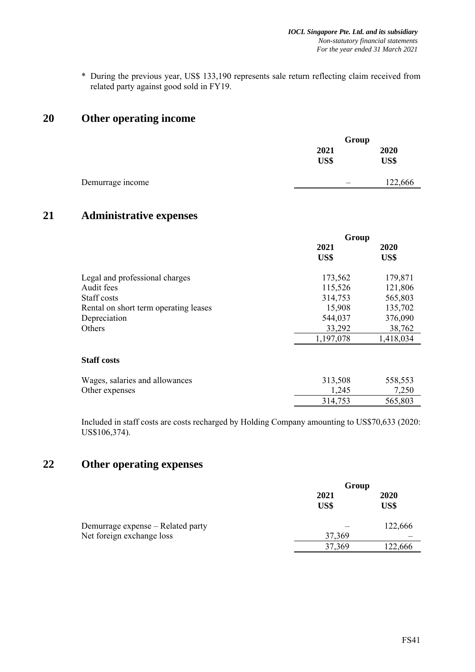\* During the previous year, US\$ 133,190 represents sale return reflecting claim received from related party against good sold in FY19.

## **20 Other operating income**

|                  | Group        |              |
|------------------|--------------|--------------|
|                  | 2021<br>US\$ | 2020<br>US\$ |
| Demurrage income |              | 122,666      |
|                  |              |              |

# **21 Administrative expenses**

|                                       | Group     |           |
|---------------------------------------|-----------|-----------|
|                                       | 2021      | 2020      |
|                                       | US\$      | US\$      |
| Legal and professional charges        | 173,562   | 179,871   |
| Audit fees                            | 115,526   | 121,806   |
| Staff costs                           | 314,753   | 565,803   |
| Rental on short term operating leases | 15,908    | 135,702   |
| Depreciation                          | 544,037   | 376,090   |
| Others                                | 33,292    | 38,762    |
|                                       | 1,197,078 | 1,418,034 |
| <b>Staff costs</b>                    |           |           |
| Wages, salaries and allowances        | 313,508   | 558,553   |
| Other expenses                        | 1,245     | 7,250     |
|                                       | 314,753   | 565,803   |
|                                       |           |           |

Included in staff costs are costs recharged by Holding Company amounting to US\$70,633 (2020: US\$106,374).

## **22 Other operating expenses**

|                                   | Group        |              |  |
|-----------------------------------|--------------|--------------|--|
|                                   | 2021<br>US\$ | 2020<br>US\$ |  |
| Demurrage expense - Related party |              | 122,666      |  |
| Net foreign exchange loss         | 37,369       |              |  |
|                                   | 37,369       | 122,666      |  |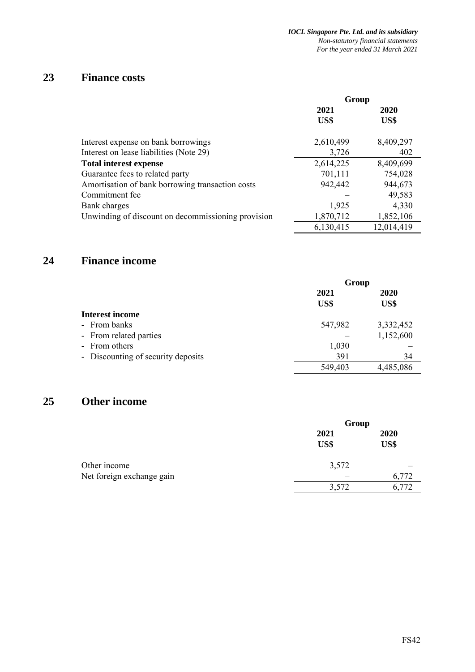## **23 Finance costs**

|                                                    | Group     |            |  |
|----------------------------------------------------|-----------|------------|--|
|                                                    | 2021      | 2020       |  |
|                                                    | US\$      | US\$       |  |
| Interest expense on bank borrowings                | 2,610,499 | 8,409,297  |  |
| Interest on lease liabilities (Note 29)            | 3,726     | 402        |  |
| <b>Total interest expense</b>                      | 2,614,225 | 8,409,699  |  |
| Guarantee fees to related party                    | 701,111   | 754,028    |  |
| Amortisation of bank borrowing transaction costs   | 942,442   | 944,673    |  |
| Commitment fee                                     |           | 49,583     |  |
| Bank charges                                       | 1,925     | 4,330      |  |
| Unwinding of discount on decommissioning provision | 1,870,712 | 1,852,106  |  |
|                                                    | 6,130,415 | 12,014,419 |  |

## **24 Finance income**

|                                    | Group   |           |  |
|------------------------------------|---------|-----------|--|
|                                    | 2021    | 2020      |  |
|                                    | US\$    | US\$      |  |
| <b>Interest income</b>             |         |           |  |
| - From banks                       | 547,982 | 3,332,452 |  |
| - From related parties             |         | 1,152,600 |  |
| - From others                      | 1,030   |           |  |
| - Discounting of security deposits | 391     | 34        |  |
|                                    | 549,403 | 4,485,086 |  |

## **25 Other income**

|                           | Group        |              |  |
|---------------------------|--------------|--------------|--|
|                           | 2021<br>US\$ | 2020<br>US\$ |  |
| Other income              | 3,572        |              |  |
| Net foreign exchange gain |              | 6,772        |  |
|                           | 3,572        | 6,772        |  |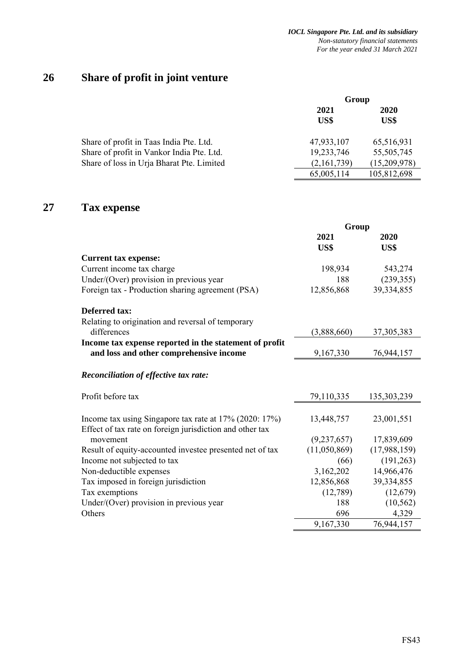# **26 Share of profit in joint venture**

|                                           | Group        |                     |  |
|-------------------------------------------|--------------|---------------------|--|
|                                           | 2021<br>US\$ | <b>2020</b><br>US\$ |  |
| Share of profit in Taas India Pte. Ltd.   | 47,933,107   | 65,516,931          |  |
| Share of profit in Vankor India Pte. Ltd. | 19,233,746   | 55,505,745          |  |
| Share of loss in Urja Bharat Pte. Limited | (2,161,739)  | (15,209,978)        |  |
|                                           | 65,005,114   | 105,812,698         |  |

# **27 Tax expense**

|                                                          | Group         |               |  |
|----------------------------------------------------------|---------------|---------------|--|
|                                                          | 2021          | 2020          |  |
|                                                          | US\$          | US\$          |  |
| <b>Current tax expense:</b>                              |               |               |  |
| Current income tax charge                                | 198,934       | 543,274       |  |
| Under/(Over) provision in previous year                  | 188           | (239, 355)    |  |
| Foreign tax - Production sharing agreement (PSA)         | 12,856,868    | 39,334,855    |  |
| <b>Deferred tax:</b>                                     |               |               |  |
| Relating to origination and reversal of temporary        |               |               |  |
| differences                                              | (3,888,660)   | 37, 305, 383  |  |
| Income tax expense reported in the statement of profit   |               |               |  |
| and loss and other comprehensive income                  | 9,167,330     | 76,944,157    |  |
| Reconciliation of effective tax rate:                    |               |               |  |
|                                                          |               |               |  |
| Profit before tax                                        | 79,110,335    | 135, 303, 239 |  |
| Income tax using Singapore tax rate at 17% (2020: 17%)   | 13,448,757    | 23,001,551    |  |
| Effect of tax rate on foreign jurisdiction and other tax |               |               |  |
| movement                                                 | (9, 237, 657) | 17,839,609    |  |
| Result of equity-accounted investee presented net of tax | (11,050,869)  | (17,988,159)  |  |
| Income not subjected to tax                              | (66)          | (191, 263)    |  |
| Non-deductible expenses                                  | 3,162,202     | 14,966,476    |  |
| Tax imposed in foreign jurisdiction                      | 12,856,868    | 39,334,855    |  |
| Tax exemptions                                           | (12,789)      | (12,679)      |  |
| Under/(Over) provision in previous year                  | 188           | (10, 562)     |  |
| Others                                                   | 696           | 4,329         |  |
|                                                          | 9,167,330     | 76,944,157    |  |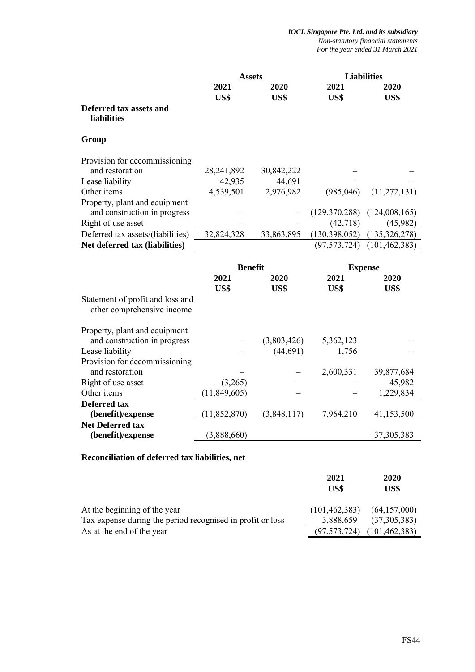|                                                                 | <b>Assets</b>  |             | <b>Liabilities</b> |                 |  |
|-----------------------------------------------------------------|----------------|-------------|--------------------|-----------------|--|
|                                                                 | 2021           | 2020        | 2021               | 2020            |  |
|                                                                 | US\$           | US\$        | US\$               | US\$            |  |
| Deferred tax assets and<br>liabilities                          |                |             |                    |                 |  |
| Group                                                           |                |             |                    |                 |  |
| Provision for decommissioning<br>and restoration                | 28,241,892     | 30,842,222  |                    |                 |  |
|                                                                 |                |             |                    |                 |  |
| Lease liability                                                 | 42,935         | 44,691      |                    |                 |  |
| Other items                                                     | 4,539,501      | 2,976,982   | (985, 046)         | (11, 272, 131)  |  |
| Property, plant and equipment<br>and construction in progress   |                |             | (129, 370, 288)    | (124,008,165)   |  |
| Right of use asset                                              |                |             | (42, 718)          | (45,982)        |  |
| Deferred tax assets/(liabilities)                               | 32,824,328     | 33,863,895  | (130, 398, 052)    | (135, 326, 278) |  |
| Net deferred tax (liabilities)                                  |                |             | (97, 573, 724)     | (101, 462, 383) |  |
|                                                                 |                |             |                    |                 |  |
|                                                                 |                |             |                    |                 |  |
|                                                                 | <b>Benefit</b> |             |                    | <b>Expense</b>  |  |
|                                                                 | 2021           | 2020        | 2021               | 2020            |  |
|                                                                 | US\$           | US\$        | US\$               | US\$            |  |
| Statement of profit and loss and<br>other comprehensive income: |                |             |                    |                 |  |
| Property, plant and equipment                                   |                |             |                    |                 |  |
| and construction in progress                                    |                | (3,803,426) | 5,362,123          |                 |  |
| Lease liability                                                 |                | (44, 691)   | 1,756              |                 |  |
| Provision for decommissioning                                   |                |             |                    |                 |  |
| and restoration                                                 |                |             | 2,600,331          | 39,877,684      |  |
| Right of use asset                                              | (3,265)        |             |                    | 45,982          |  |
| Other items                                                     | (11, 849, 605) |             |                    | 1,229,834       |  |
| <b>Deferred tax</b>                                             |                |             |                    |                 |  |
| (benefit)/expense<br><b>Net Deferred tax</b>                    | (11, 852, 870) | (3,848,117) | 7,964,210          | 41,153,500      |  |

### **Reconciliation of deferred tax liabilities, net**

|                                                            | 2021<br>US\$    | 2020<br>US\$   |
|------------------------------------------------------------|-----------------|----------------|
| At the beginning of the year                               | (101, 462, 383) | (64, 157, 000) |
| Tax expense during the period recognised in profit or loss | 3,888,659       | (37,305,383)   |
| As at the end of the year                                  | (97, 573, 724)  | (101,462,383)  |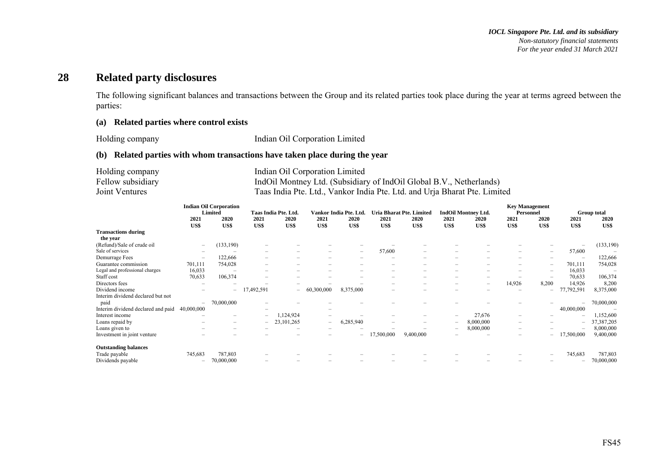#### **28Related party disclosures**

The following significant balances and transactions between the Group and its related parties took place during the year at terms agreed between the parties:

#### **(a) Related parties where control exists**

Holding company Indian Oil Corporation Limited

#### **(b) Related parties with whom transactions have taken place during the year**

| Holding company   | Indian Oil Corporation Limited                                            |
|-------------------|---------------------------------------------------------------------------|
| Fellow subsidiary | IndOil Montney Ltd. (Subsidiary of IndOil Global B.V., Netherlands)       |
| Joint Ventures    | Taas India Pte. Ltd., Vankor India Pte. Ltd. and Uria Bharat Pte. Limited |

|                                               |                                 | <b>Indian Oil Corporation</b> |                                |                              |                          |                                |            |                                  |                          |                                    |                          | <b>Key Management</b>    |                          |                            |
|-----------------------------------------------|---------------------------------|-------------------------------|--------------------------------|------------------------------|--------------------------|--------------------------------|------------|----------------------------------|--------------------------|------------------------------------|--------------------------|--------------------------|--------------------------|----------------------------|
|                                               | 2021                            | Limited<br>2020               | 2021                           | Taas India Pte. Ltd.<br>2020 | 2021                     | Vankor India Pte. Ltd.<br>2020 | 2021       | Uria Bharat Pte. Limited<br>2020 | 2021                     | <b>IndOil Montney Ltd.</b><br>2020 | Personnel<br>2021        | 2020                     | 2021                     | <b>Group total</b><br>2020 |
|                                               | US\$                            | US\$                          | US\$                           | US\$                         | US\$                     | US\$                           | US\$       | US\$                             | US\$                     | US\$                               | US\$                     | US\$                     | US\$                     | US\$                       |
| <b>Transactions during</b><br>the year        |                                 |                               |                                |                              |                          |                                |            |                                  |                          |                                    |                          |                          |                          |                            |
| (Refund)/Sale of crude oil                    | $\hspace{0.1mm}-\hspace{0.1mm}$ | (133, 190)                    |                                |                              |                          |                                |            |                                  |                          |                                    |                          |                          |                          | (133, 190)                 |
| Sale of services                              |                                 |                               | -                              | $\overline{\phantom{0}}$     | -                        | -                              | 57,600     | $\overline{\phantom{0}}$         | $\overline{\phantom{0}}$ |                                    | -                        | $\overline{\phantom{a}}$ | 57,600                   |                            |
| Demurrage Fees                                | $\qquad \qquad -$               | 122,666                       | $\qquad \qquad \longleftarrow$ |                              | -                        | -                              |            |                                  |                          |                                    |                          |                          |                          | 122,666                    |
| Guarantee commission                          | 701,111                         | 754,028                       | $\qquad \qquad \longleftarrow$ | -                            | -                        | -                              | -          | $\overline{\phantom{0}}$         | $\overline{\phantom{0}}$ |                                    | $\sim$                   | $\overline{\phantom{m}}$ | 701,111                  | 754,028                    |
| Legal and professional charges                | 16,033                          |                               |                                |                              |                          |                                |            |                                  |                          |                                    |                          | $\overline{\phantom{0}}$ | 16,033                   |                            |
| Staff cost                                    | 70,633                          | 106,374                       | -                              |                              |                          |                                | -          |                                  | $\overline{\phantom{0}}$ |                                    |                          | $\overline{\phantom{a}}$ | 70,633                   | 106,374                    |
| Directors fees                                | $\overline{\phantom{a}}$        |                               |                                |                              |                          |                                |            | $\overline{\phantom{0}}$         | $\equiv$                 | $\qquad \qquad -$                  | 14,926                   | 8,200                    | 14,926                   | 8,200                      |
| Dividend income                               | $\overline{\phantom{m}}$        | $-$                           | 17,492,591                     | $-$                          | 60,300,000               | 8,375,000                      | -          | $\overline{\phantom{m}}$         | $\overline{\phantom{m}}$ | $\overline{\phantom{m}}$           | $\sim$                   | $\qquad \qquad =$        | 77,792,591               | 8,375,000                  |
| Interim dividend declared but not             |                                 |                               |                                |                              |                          |                                |            |                                  |                          |                                    |                          |                          |                          |                            |
| paid                                          | $\overline{\phantom{a}}$        | 70,000,000                    | $\qquad \qquad \longleftarrow$ |                              |                          |                                |            |                                  |                          |                                    |                          |                          | $\overline{\phantom{a}}$ | 70,000,000                 |
| Interim dividend declared and paid 40,000,000 |                                 |                               | $\overline{\phantom{a}}$       |                              | $\overline{\phantom{a}}$ |                                |            |                                  |                          |                                    |                          |                          | 40,000,000               | $\overline{\phantom{a}}$   |
| Interest income                               | $\overline{\phantom{a}}$        | -                             | $\overline{\phantom{0}}$       | 124,924                      | $\overline{\phantom{a}}$ |                                |            |                                  | $\overline{\phantom{m}}$ | 27,676                             | $\sim$                   |                          | $\overline{\phantom{a}}$ | 1,152,600                  |
| Loans repaid by                               | -                               | -                             | -                              | 23, 101, 265                 | $\overline{\phantom{m}}$ | 6,285,940                      | -          |                                  | $\overline{\phantom{m}}$ | 8,000,000                          | $\overline{\phantom{a}}$ |                          | $\overline{\phantom{0}}$ | 37,387,205                 |
| Loans given to                                |                                 |                               |                                |                              |                          |                                |            |                                  | $\equiv$                 | 8,000,000                          | $\overline{\phantom{a}}$ |                          | -                        | 8,000,000                  |
| Investment in joint venture                   |                                 |                               |                                |                              |                          | -                              | 17,500,000 | 9,400,000                        |                          |                                    |                          | $\qquad \qquad =$        | 17,500,000               | 9,400,000                  |
| <b>Outstanding balances</b>                   |                                 |                               |                                |                              |                          |                                |            |                                  |                          |                                    |                          |                          |                          |                            |
| Trade payable                                 | 745,683                         | 787,803                       |                                |                              |                          |                                |            |                                  |                          |                                    |                          | $\overline{\phantom{0}}$ | 745,683                  | 787,803                    |
| Dividends payable                             | $\overline{\phantom{a}}$        | 70,000,000                    |                                |                              |                          |                                |            |                                  |                          |                                    |                          |                          | -                        | 70,000,000                 |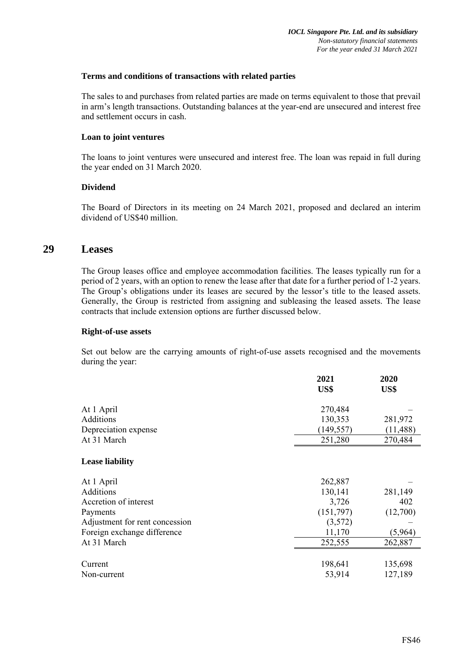#### **Terms and conditions of transactions with related parties**

The sales to and purchases from related parties are made on terms equivalent to those that prevail in arm's length transactions. Outstanding balances at the year-end are unsecured and interest free and settlement occurs in cash.

#### **Loan to joint ventures**

The loans to joint ventures were unsecured and interest free. The loan was repaid in full during the year ended on 31 March 2020.

#### **Dividend**

The Board of Directors in its meeting on 24 March 2021, proposed and declared an interim dividend of US\$40 million.

#### **29 Leases**

The Group leases office and employee accommodation facilities. The leases typically run for a period of 2 years, with an option to renew the lease after that date for a further period of 1-2 years. The Group's obligations under its leases are secured by the lessor's title to the leased assets. Generally, the Group is restricted from assigning and subleasing the leased assets. The lease contracts that include extension options are further discussed below.

#### **Right-of-use assets**

Set out below are the carrying amounts of right-of-use assets recognised and the movements during the year:

|                                | 2021       | 2020      |
|--------------------------------|------------|-----------|
|                                | US\$       | US\$      |
| At 1 April                     | 270,484    |           |
| Additions                      | 130,353    | 281,972   |
| Depreciation expense           | (149, 557) | (11, 488) |
| At 31 March                    | 251,280    | 270,484   |
| <b>Lease liability</b>         |            |           |
| At 1 April                     | 262,887    |           |
| Additions                      | 130,141    | 281,149   |
| Accretion of interest          | 3,726      | 402       |
| Payments                       | (151,797)  | (12,700)  |
| Adjustment for rent concession | (3,572)    |           |
| Foreign exchange difference    | 11,170     | (5,964)   |
| At 31 March                    | 252,555    | 262,887   |
|                                |            |           |
| Current                        | 198,641    | 135,698   |
| Non-current                    | 53,914     | 127,189   |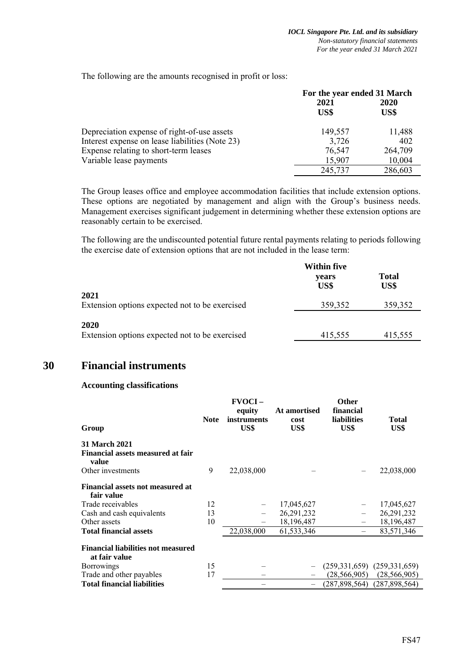The following are the amounts recognised in profit or loss:

|                                                 | For the year ended 31 March |         |  |
|-------------------------------------------------|-----------------------------|---------|--|
|                                                 | 2021                        | 2020    |  |
|                                                 | US\$                        | US\$    |  |
| Depreciation expense of right-of-use assets     | 149,557                     | 11,488  |  |
| Interest expense on lease liabilities (Note 23) | 3,726                       | 402     |  |
| Expense relating to short-term leases           | 76,547                      | 264,709 |  |
| Variable lease payments                         | 15,907                      | 10,004  |  |
|                                                 | 245,737                     | 286,603 |  |

The Group leases office and employee accommodation facilities that include extension options. These options are negotiated by management and align with the Group's business needs. Management exercises significant judgement in determining whether these extension options are reasonably certain to be exercised.

The following are the undiscounted potential future rental payments relating to periods following the exercise date of extension options that are not included in the lease term:

| <b>Within five</b> |                      |
|--------------------|----------------------|
| years<br>US\$      | <b>Total</b><br>US\$ |
| 359,352            | 359,352              |
| 415,555            | 415,555              |
|                    |                      |

## **30 Financial instruments**

#### **Accounting classifications**

| <b>Note</b> | $FVOCI-$<br>equity<br>instruments<br>US\$ | cost<br>US\$ | <b>Other</b><br>financial<br><b>liabilities</b><br>US\$ | <b>Total</b><br>US\$                |
|-------------|-------------------------------------------|--------------|---------------------------------------------------------|-------------------------------------|
|             |                                           |              |                                                         |                                     |
| 9           | 22,038,000                                |              |                                                         | 22,038,000                          |
|             |                                           |              |                                                         |                                     |
| 12          |                                           |              |                                                         | 17,045,627                          |
| 13          |                                           | 26, 291, 232 |                                                         | 26,291,232                          |
| 10          |                                           | 18,196,487   |                                                         | 18,196,487                          |
|             | 22,038,000                                | 61,533,346   |                                                         | 83,571,346                          |
|             |                                           |              |                                                         |                                     |
| 15          |                                           |              |                                                         | $(259, 331, 659)$ $(259, 331, 659)$ |
| 17          |                                           |              |                                                         | $(28, 566, 905)$ $(28, 566, 905)$   |
|             |                                           |              |                                                         | (287, 898, 564)                     |
|             |                                           |              | 17,045,627                                              | At amortised<br>(287,898,564)       |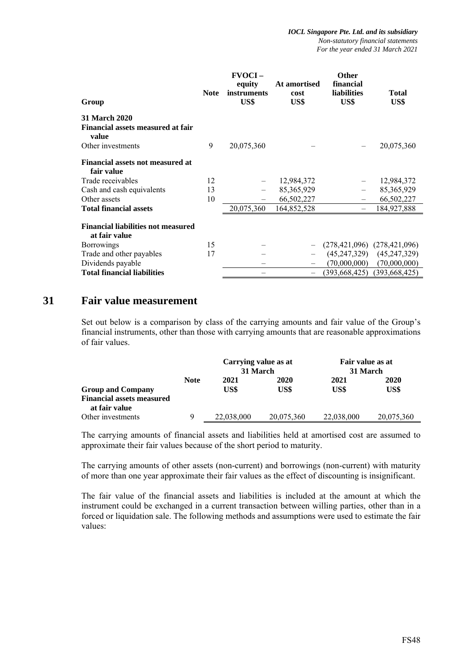| Group                                                      | <b>Note</b> | <b>FVOCI-</b><br>equity<br>instruments<br>US\$ | At amortised<br>cost<br>US\$ | <b>Other</b><br>financial<br>liabilities<br>US\$ | <b>Total</b><br>US\$                |
|------------------------------------------------------------|-------------|------------------------------------------------|------------------------------|--------------------------------------------------|-------------------------------------|
| <b>31 March 2020</b>                                       |             |                                                |                              |                                                  |                                     |
| Financial assets measured at fair<br>value                 |             |                                                |                              |                                                  |                                     |
| Other investments                                          | 9           | 20,075,360                                     |                              |                                                  | 20,075,360                          |
| Financial assets not measured at<br>fair value             |             |                                                |                              |                                                  |                                     |
| Trade receivables                                          | 12          |                                                | 12,984,372                   |                                                  | 12,984,372                          |
| Cash and cash equivalents                                  | 13          |                                                | 85,365,929                   |                                                  | 85,365,929                          |
| Other assets                                               | 10          | $\qquad \qquad -$                              | 66,502,227                   |                                                  | 66,502,227                          |
| <b>Total financial assets</b>                              |             | 20,075,360                                     | 164,852,528                  |                                                  | 184,927,888                         |
| <b>Financial liabilities not measured</b><br>at fair value |             |                                                |                              |                                                  |                                     |
| <b>Borrowings</b>                                          | 15          |                                                |                              |                                                  | $(278, 421, 096)$ $(278, 421, 096)$ |
| Trade and other payables                                   | 17          |                                                |                              |                                                  | $(45,247,329)$ $(45,247,329)$       |
| Dividends payable                                          |             |                                                |                              | (70,000,000)                                     | (70,000,000)                        |
| <b>Total financial liabilities</b>                         |             |                                                |                              | (393,668,425)                                    | (393,668,425)                       |

### **31 Fair value measurement**

Set out below is a comparison by class of the carrying amounts and fair value of the Group's financial instruments, other than those with carrying amounts that are reasonable approximations of fair values.

|                                  |             | Carrying value as at<br>31 March |            | Fair value as at<br>31 March |            |
|----------------------------------|-------------|----------------------------------|------------|------------------------------|------------|
|                                  | <b>Note</b> | 2021                             | 2020       | 2021                         | 2020       |
| <b>Group and Company</b>         |             | US\$                             | US\$       | US\$                         | US\$       |
| <b>Financial assets measured</b> |             |                                  |            |                              |            |
| at fair value                    |             |                                  |            |                              |            |
| Other investments                |             | 22,038,000                       | 20,075,360 | 22,038,000                   | 20,075,360 |

The carrying amounts of financial assets and liabilities held at amortised cost are assumed to approximate their fair values because of the short period to maturity.

The carrying amounts of other assets (non-current) and borrowings (non-current) with maturity of more than one year approximate their fair values as the effect of discounting is insignificant.

The fair value of the financial assets and liabilities is included at the amount at which the instrument could be exchanged in a current transaction between willing parties, other than in a forced or liquidation sale. The following methods and assumptions were used to estimate the fair values: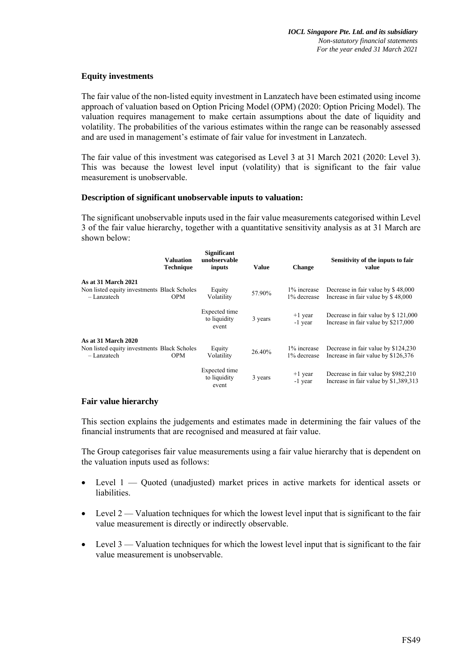#### **Equity investments**

The fair value of the non-listed equity investment in Lanzatech have been estimated using income approach of valuation based on Option Pricing Model (OPM) (2020: Option Pricing Model). The valuation requires management to make certain assumptions about the date of liquidity and volatility. The probabilities of the various estimates within the range can be reasonably assessed and are used in management's estimate of fair value for investment in Lanzatech.

The fair value of this investment was categorised as Level 3 at 31 March 2021 (2020: Level 3). This was because the lowest level input (volatility) that is significant to the fair value measurement is unobservable.

#### **Description of significant unobservable inputs to valuation:**

The significant unobservable inputs used in the fair value measurements categorised within Level 3 of the fair value hierarchy, together with a quantitative sensitivity analysis as at 31 March are shown below:

|                                                                                   | Valuation<br><b>Technique</b> | <b>Significant</b><br>unobservable<br>inputs | <b>Value</b> | <b>Change</b>              | Sensitivity of the inputs to fair<br>value                                   |
|-----------------------------------------------------------------------------------|-------------------------------|----------------------------------------------|--------------|----------------------------|------------------------------------------------------------------------------|
| As at 31 March 2021<br>Non listed equity investments Black Scholes                |                               | Equity                                       |              | 1% increase                | Decrease in fair value by \$48,000                                           |
| – Lanzatech                                                                       | <b>OPM</b>                    | Volatility                                   | 57.90%       | 1% decrease                | Increase in fair value by \$48,000                                           |
|                                                                                   |                               | Expected time<br>to liquidity<br>event       | 3 years      | $+1$ year<br>-1 year       | Decrease in fair value by \$121,000<br>Increase in fair value by \$217,000   |
| As at 31 March 2020<br>Non listed equity investments Black Scholes<br>- Lanzatech | <b>OPM</b>                    | Equity<br>Volatility                         | 26.40%       | 1% increase<br>1% decrease | Decrease in fair value by \$124,230<br>Increase in fair value by \$126,376   |
|                                                                                   |                               | Expected time<br>to liquidity<br>event       | 3 years      | $+1$ year<br>-1 year       | Decrease in fair value by \$982,210<br>Increase in fair value by \$1,389,313 |

#### **Fair value hierarchy**

This section explains the judgements and estimates made in determining the fair values of the financial instruments that are recognised and measured at fair value.

The Group categorises fair value measurements using a fair value hierarchy that is dependent on the valuation inputs used as follows:

- Level  $1 -$  Quoted (unadjusted) market prices in active markets for identical assets or liabilities.
- Level 2 Valuation techniques for which the lowest level input that is significant to the fair value measurement is directly or indirectly observable.
- Level 3 Valuation techniques for which the lowest level input that is significant to the fair value measurement is unobservable.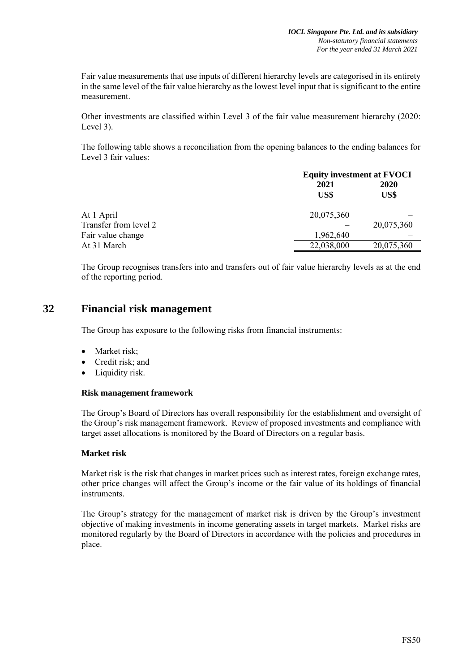Fair value measurements that use inputs of different hierarchy levels are categorised in its entirety in the same level of the fair value hierarchy as the lowest level input that is significant to the entire measurement.

Other investments are classified within Level 3 of the fair value measurement hierarchy (2020: Level 3).

The following table shows a reconciliation from the opening balances to the ending balances for Level 3 fair values:

|                       | <b>Equity investment at FVOCI</b> |              |  |  |
|-----------------------|-----------------------------------|--------------|--|--|
|                       | 2021<br>US\$                      | 2020<br>US\$ |  |  |
| At 1 April            | 20,075,360                        |              |  |  |
| Transfer from level 2 |                                   | 20,075,360   |  |  |
| Fair value change     | 1,962,640                         |              |  |  |
| At 31 March           | 22,038,000                        | 20,075,360   |  |  |

The Group recognises transfers into and transfers out of fair value hierarchy levels as at the end of the reporting period.

### **32 Financial risk management**

The Group has exposure to the following risks from financial instruments:

- Market risk;
- Credit risk; and
- Liquidity risk.

#### **Risk management framework**

The Group's Board of Directors has overall responsibility for the establishment and oversight of the Group's risk management framework. Review of proposed investments and compliance with target asset allocations is monitored by the Board of Directors on a regular basis.

#### **Market risk**

Market risk is the risk that changes in market prices such as interest rates, foreign exchange rates, other price changes will affect the Group's income or the fair value of its holdings of financial instruments.

The Group's strategy for the management of market risk is driven by the Group's investment objective of making investments in income generating assets in target markets. Market risks are monitored regularly by the Board of Directors in accordance with the policies and procedures in place.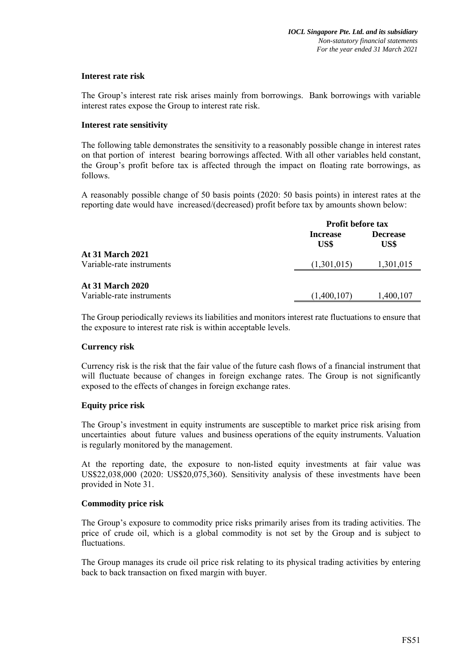#### **Interest rate risk**

The Group's interest rate risk arises mainly from borrowings. Bank borrowings with variable interest rates expose the Group to interest rate risk.

#### **Interest rate sensitivity**

The following table demonstrates the sensitivity to a reasonably possible change in interest rates on that portion of interest bearing borrowings affected. With all other variables held constant, the Group's profit before tax is affected through the impact on floating rate borrowings, as follows.

A reasonably possible change of 50 basis points (2020: 50 basis points) in interest rates at the reporting date would have increased/(decreased) profit before tax by amounts shown below:

|                           | <b>Profit before tax</b> |                         |  |
|---------------------------|--------------------------|-------------------------|--|
|                           | <b>Increase</b><br>US\$  | <b>Decrease</b><br>US\$ |  |
| <b>At 31 March 2021</b>   |                          |                         |  |
| Variable-rate instruments | (1,301,015)              | 1,301,015               |  |
|                           |                          |                         |  |
| <b>At 31 March 2020</b>   |                          |                         |  |
| Variable-rate instruments | (1,400,107)              | 1,400,107               |  |

The Group periodically reviews its liabilities and monitors interest rate fluctuations to ensure that the exposure to interest rate risk is within acceptable levels.

#### **Currency risk**

Currency risk is the risk that the fair value of the future cash flows of a financial instrument that will fluctuate because of changes in foreign exchange rates. The Group is not significantly exposed to the effects of changes in foreign exchange rates.

#### **Equity price risk**

The Group's investment in equity instruments are susceptible to market price risk arising from uncertainties about future values and business operations of the equity instruments. Valuation is regularly monitored by the management.

At the reporting date, the exposure to non-listed equity investments at fair value was US\$22,038,000 (2020: US\$20,075,360). Sensitivity analysis of these investments have been provided in Note 31.

#### **Commodity price risk**

The Group's exposure to commodity price risks primarily arises from its trading activities. The price of crude oil, which is a global commodity is not set by the Group and is subject to fluctuations.

The Group manages its crude oil price risk relating to its physical trading activities by entering back to back transaction on fixed margin with buyer.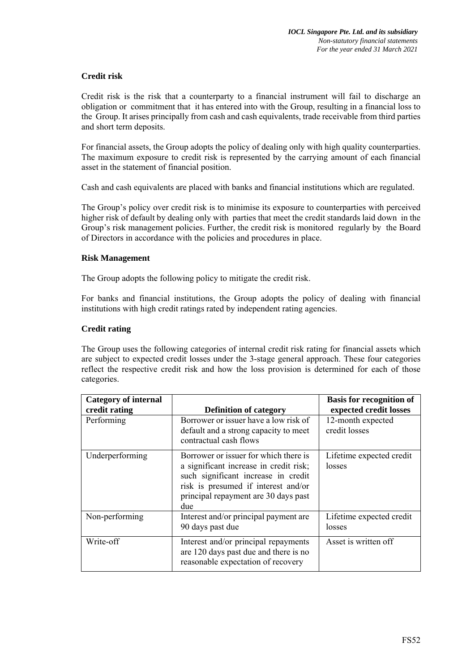#### **Credit risk**

Credit risk is the risk that a counterparty to a financial instrument will fail to discharge an obligation or commitment that it has entered into with the Group, resulting in a financial loss to the Group. It arises principally from cash and cash equivalents, trade receivable from third parties and short term deposits.

For financial assets, the Group adopts the policy of dealing only with high quality counterparties. The maximum exposure to credit risk is represented by the carrying amount of each financial asset in the statement of financial position.

Cash and cash equivalents are placed with banks and financial institutions which are regulated.

The Group's policy over credit risk is to minimise its exposure to counterparties with perceived higher risk of default by dealing only with parties that meet the credit standards laid down in the Group's risk management policies. Further, the credit risk is monitored regularly by the Board of Directors in accordance with the policies and procedures in place.

#### **Risk Management**

The Group adopts the following policy to mitigate the credit risk.

For banks and financial institutions, the Group adopts the policy of dealing with financial institutions with high credit ratings rated by independent rating agencies.

#### **Credit rating**

The Group uses the following categories of internal credit risk rating for financial assets which are subject to expected credit losses under the 3-stage general approach. These four categories reflect the respective credit risk and how the loss provision is determined for each of those categories.

| <b>Category of internal</b><br>credit rating | <b>Definition of category</b>                                                                                                                                                                                | <b>Basis for recognition of</b><br>expected credit losses |
|----------------------------------------------|--------------------------------------------------------------------------------------------------------------------------------------------------------------------------------------------------------------|-----------------------------------------------------------|
| Performing                                   | Borrower or issuer have a low risk of<br>default and a strong capacity to meet<br>contractual cash flows                                                                                                     | 12-month expected<br>credit losses                        |
| Underperforming                              | Borrower or issuer for which there is<br>a significant increase in credit risk;<br>such significant increase in credit<br>risk is presumed if interest and/or<br>principal repayment are 30 days past<br>due | Lifetime expected credit<br>losses                        |
| Non-performing                               | Interest and/or principal payment are<br>90 days past due                                                                                                                                                    | Lifetime expected credit<br>losses                        |
| Write-off                                    | Interest and/or principal repayments<br>are 120 days past due and there is no<br>reasonable expectation of recovery                                                                                          | Asset is written off                                      |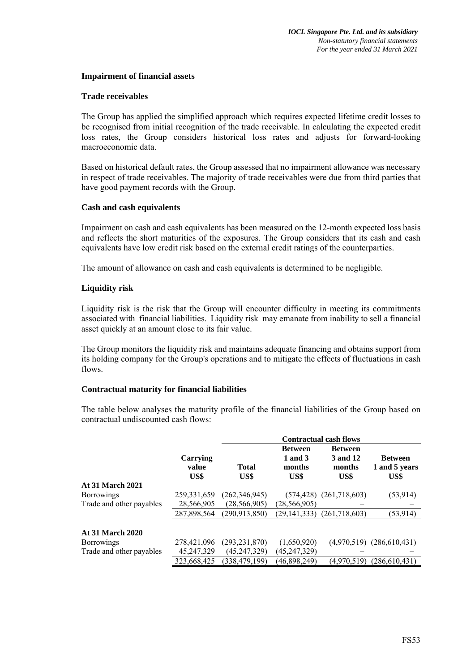#### **Impairment of financial assets**

#### **Trade receivables**

The Group has applied the simplified approach which requires expected lifetime credit losses to be recognised from initial recognition of the trade receivable. In calculating the expected credit loss rates, the Group considers historical loss rates and adjusts for forward-looking macroeconomic data.

Based on historical default rates, the Group assessed that no impairment allowance was necessary in respect of trade receivables. The majority of trade receivables were due from third parties that have good payment records with the Group.

#### **Cash and cash equivalents**

Impairment on cash and cash equivalents has been measured on the 12-month expected loss basis and reflects the short maturities of the exposures. The Group considers that its cash and cash equivalents have low credit risk based on the external credit ratings of the counterparties.

The amount of allowance on cash and cash equivalents is determined to be negligible.

#### **Liquidity risk**

Liquidity risk is the risk that the Group will encounter difficulty in meeting its commitments associated with financial liabilities. Liquidity risk may emanate from inability to sell a financial asset quickly at an amount close to its fair value.

The Group monitors the liquidity risk and maintains adequate financing and obtains support from its holding company for the Group's operations and to mitigate the effects of fluctuations in cash flows.

#### **Contractual maturity for financial liabilities**

The table below analyses the maturity profile of the financial liabilities of the Group based on contractual undiscounted cash flows:

|                          |                           | <b>Contractual cash flows</b> |                                             |                                              |                                         |
|--------------------------|---------------------------|-------------------------------|---------------------------------------------|----------------------------------------------|-----------------------------------------|
|                          | Carrying<br>value<br>US\$ | <b>Total</b><br>US\$          | <b>Between</b><br>1 and 3<br>months<br>US\$ | <b>Between</b><br>3 and 12<br>months<br>US\$ | <b>Between</b><br>1 and 5 years<br>US\$ |
| <b>At 31 March 2021</b>  |                           |                               |                                             |                                              |                                         |
| <b>Borrowings</b>        | 259, 331, 659             | (262, 346, 945)               | (574, 428)                                  | (261,718,603)                                | (53, 914)                               |
| Trade and other payables | 28,566,905                | (28, 566, 905)                | (28, 566, 905)                              |                                              |                                         |
|                          | 287,898,564               | (290, 913, 850)               | (29, 141, 333)                              | (261,718,603)                                | (53, 914)                               |
| <b>At 31 March 2020</b>  |                           |                               |                                             |                                              |                                         |
| <b>Borrowings</b>        | 278,421,096               | (293, 231, 870)               | (1,650,920)                                 |                                              | $(4,970,519)$ $(286,610,431)$           |
| Trade and other payables | 45,247,329                | (45, 247, 329)                | (45, 247, 329)                              |                                              |                                         |
|                          | 323,668,425               | (338,479,199)                 | (46,898,249)                                | (4,970,519)                                  | (286.610.431)                           |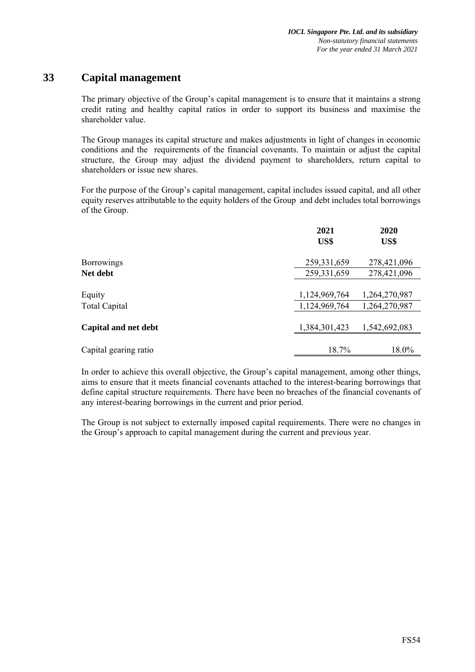## **33 Capital management**

The primary objective of the Group's capital management is to ensure that it maintains a strong credit rating and healthy capital ratios in order to support its business and maximise the shareholder value.

The Group manages its capital structure and makes adjustments in light of changes in economic conditions and the requirements of the financial covenants. To maintain or adjust the capital structure, the Group may adjust the dividend payment to shareholders, return capital to shareholders or issue new shares.

For the purpose of the Group's capital management, capital includes issued capital, and all other equity reserves attributable to the equity holders of the Group and debt includes total borrowings of the Group.

|                       | 2021<br>US\$  | 2020<br>US\$  |
|-----------------------|---------------|---------------|
| <b>Borrowings</b>     | 259, 331, 659 | 278,421,096   |
| Net debt              | 259,331,659   | 278,421,096   |
| Equity                | 1,124,969,764 | 1,264,270,987 |
| <b>Total Capital</b>  | 1,124,969,764 | 1,264,270,987 |
| Capital and net debt  | 1,384,301,423 | 1,542,692,083 |
| Capital gearing ratio | 18.7%         | 18.0%         |

In order to achieve this overall objective, the Group's capital management, among other things, aims to ensure that it meets financial covenants attached to the interest-bearing borrowings that define capital structure requirements. There have been no breaches of the financial covenants of any interest-bearing borrowings in the current and prior period.

The Group is not subject to externally imposed capital requirements. There were no changes in the Group's approach to capital management during the current and previous year.